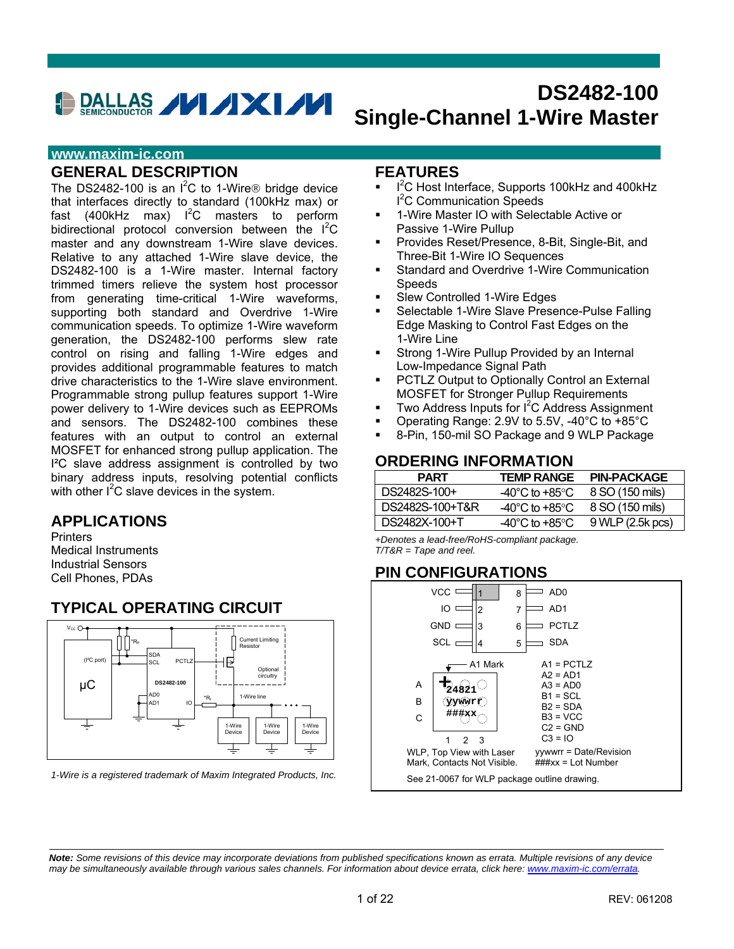# DALLAS **// /XI//**

# **DS2482-100 Single-Channel 1-Wire Master**

### **www.maxim-ic.com**

### **GENERAL DESCRIPTION**

The DS2482-100 is an  $I^2C$  to 1-Wire® bridge device that interfaces directly to standard (100kHz max) or fast (400kHz max)  $I^2C$  masters to perform bidirectional protocol conversion between the I<sup>2</sup>C master and any downstream 1-Wire slave devices. Relative to any attached 1-Wire slave device, the DS2482-100 is a 1-Wire master. Internal factory trimmed timers relieve the system host processor from generating time-critical 1-Wire waveforms, supporting both standard and Overdrive 1-Wire communication speeds. To optimize 1-Wire waveform generation, the DS2482-100 performs slew rate control on rising and falling 1-Wire edges and provides additional programmable features to match drive characteristics to the 1-Wire slave environment. Programmable strong pullup features support 1-Wire power delivery to 1-Wire devices such as EEPROMs and sensors. The DS2482-100 combines these features with an output to control an external MOSFET for enhanced strong pullup application. The I²C slave address assignment is controlled by two binary address inputs, resolving potential conflicts with other  $I^2C$  slave devices in the system.

### **APPLICATIONS**

**Printers** Medical Instruments Industrial Sensors Cell Phones, PDAs

### **TYPICAL OPERATING CIRCUIT**



*1-Wire is a registered trademark of Maxim Integrated Products, Inc.*

### **FEATURES**

- <sup>1</sup> <sup>2</sup>C Host Interface, Supports 100kHz and 400kHz I 2 C Communication Speeds
- 1-Wire Master IO with Selectable Active or Passive 1-Wire Pullup
- Provides Reset/Presence, 8-Bit, Single-Bit, and Three-Bit 1-Wire IO Sequences
- Standard and Overdrive 1-Wire Communication Speeds
- Slew Controlled 1-Wire Edges
- Selectable 1-Wire Slave Presence-Pulse Falling Edge Masking to Control Fast Edges on the 1-Wire Line
- **Strong 1-Wire Pullup Provided by an Internal** Low-Impedance Signal Path
- PCTLZ Output to Optionally Control an External MOSFET for Stronger Pullup Requirements
- $\blacksquare$  Two Address Inputs for I<sup>2</sup>C Address Assignment
- Operating Range: 2.9V to 5.5V, -40°C to +85°C
- 8-Pin, 150-mil SO Package and 9 WLP Package

### **ORDERING INFORMATION**

| <b>PART</b>     | TEMP RANGE                         | <b>PIN-PACKAGE</b> |
|-----------------|------------------------------------|--------------------|
| DS2482S-100+    | $-40^{\circ}$ C to $+85^{\circ}$ C | 8 SO (150 mils)    |
| DS2482S-100+T&R | $-40^{\circ}$ C to $+85^{\circ}$ C | 8 SO (150 mils)    |
| DS2482X-100+T   | $-40^{\circ}$ C to $+85^{\circ}$ C | 9 WLP (2.5k pcs)   |

*+Denotes a lead-free/RoHS-compliant package. T/T&R = Tape and reel.* 

### **PIN CONFIGURATIONS**



*Note: Some revisions of this device may incorporate deviations from published specifications known as errata. Multiple revisions of any device may be simultaneously available through various sales channels. For information about device errata, click here: www.maxim-ic.com/errata.*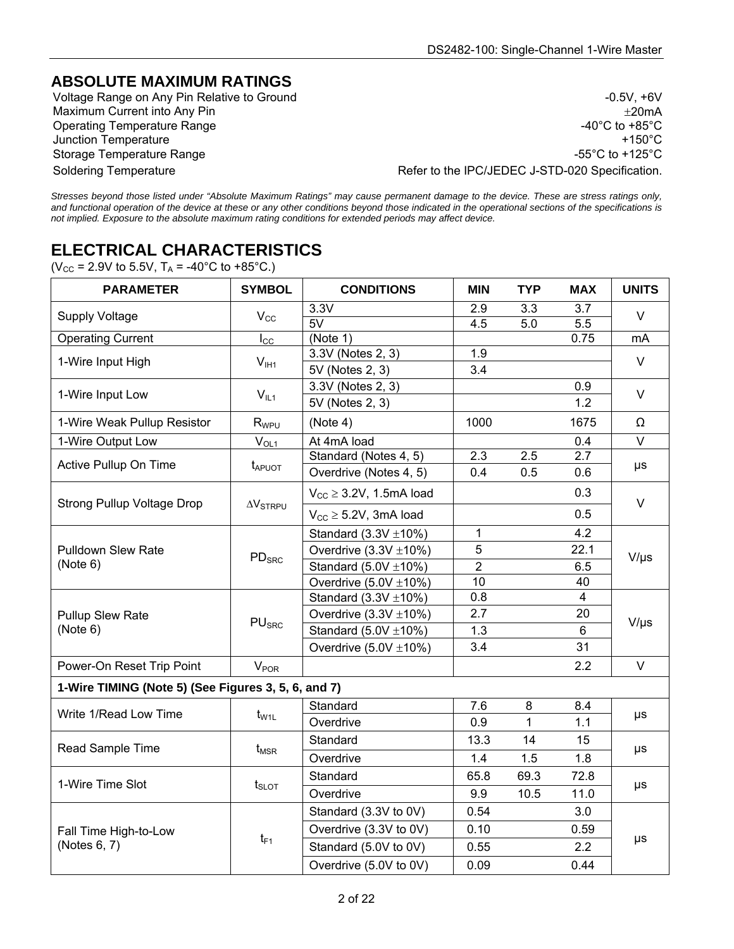### **ABSOLUTE MAXIMUM RATINGS**

Voltage Range on Any Pin Relative to Ground  $\sim$  0.5V, +6V Maximum Current into Any Pin  $\pm 20$ mA Operating Temperature Range  $-40^{\circ}$ C to +85°C Junction Temperature +150°C Storage Temperature Range -55°C to +125°C to +125°C to +125°C to +125°C to +125°C to +125°C to +125°C to +125°C Soldering Temperature **Refer to the IPC/JEDEC J-STD-020 Specification**.

*Stresses beyond those listed under "Absolute Maximum Ratings" may cause permanent damage to the device. These are stress ratings only, and functional operation of the device at these or any other conditions beyond those indicated in the operational sections of the specifications is not implied. Exposure to the absolute maximum rating conditions for extended periods may affect device.* 

# **ELECTRICAL CHARACTERISTICS**

 $(V_{CC} = 2.9V \text{ to } 5.5V, T_A = -40^{\circ}C \text{ to } +85^{\circ}C.$ 

| <b>PARAMETER</b>                                    | <b>SYMBOL</b>                 | <b>CONDITIONS</b>               | <b>MIN</b>       | <b>TYP</b>   | <b>MAX</b>       | <b>UNITS</b>            |
|-----------------------------------------------------|-------------------------------|---------------------------------|------------------|--------------|------------------|-------------------------|
| <b>Supply Voltage</b>                               |                               | 3.3V                            | 2.9              | 3.3          | 3.7              | $\vee$                  |
|                                                     | $V_{\rm CC}$                  | 5V                              | 4.5              | 5.0          | $\overline{5.5}$ |                         |
| <b>Operating Current</b>                            | $I_{\rm CC}$                  | (Note 1)                        |                  |              | 0.75             | mA                      |
| 1-Wire Input High                                   | $V_{I H1}$                    | 3.3V (Notes 2, 3)               | 1.9              |              |                  | $\vee$                  |
|                                                     |                               | 5V (Notes 2, 3)                 | 3.4              |              |                  |                         |
| 1-Wire Input Low                                    | $V_{IL1}$                     | 3.3V (Notes 2, 3)               |                  |              | 0.9              | $\vee$                  |
|                                                     |                               | 5V (Notes 2, 3)                 |                  |              | 1.2              |                         |
| 1-Wire Weak Pullup Resistor                         | $R_{WPU}$                     | (Note 4)                        | 1000             |              | 1675             | Ω                       |
| 1-Wire Output Low                                   | $V_{OL1}$                     | At 4mA load                     |                  |              | 0.4              | $\overline{\mathsf{v}}$ |
| Active Pullup On Time                               | <b>t</b> <sub>APUOT</sub>     | Standard (Notes 4, 5)           | $\overline{2.3}$ | 2.5          | 2.7              | $\mu s$                 |
|                                                     |                               | Overdrive (Notes 4, 5)          | 0.4              | 0.5          | 0.6              |                         |
| <b>Strong Pullup Voltage Drop</b>                   | $\Delta V_{STRPU}$            | $V_{CC} \geq 3.2V$ , 1.5mA load |                  |              | 0.3              | $\vee$                  |
|                                                     |                               | $V_{CC} \geq 5.2V$ , 3mA load   |                  |              | 0.5              |                         |
| <b>Pulldown Slew Rate</b><br>(Note 6)               | $\mathsf{PD}_{\mathsf{SRC}}$  | Standard $(3.3V \pm 10\%)$      | 1                |              | 4.2              | $V/\mu s$               |
|                                                     |                               | Overdrive $(3.3V \pm 10\%)$     | 5                |              | 22.1             |                         |
|                                                     |                               | Standard $(5.0V \pm 10\%)$      | $\overline{2}$   |              | 6.5              |                         |
|                                                     |                               | Overdrive $(5.0V \pm 10\%)$     | 10               |              | 40               |                         |
|                                                     | $\mathsf{PU}_{\mathsf{SRC}}$  | Standard $(3.3V \pm 10\%)$      | 0.8              |              | $\overline{4}$   | $V/\mu s$               |
| Pullup Slew Rate                                    |                               | Overdrive $(3.3V \pm 10\%)$     | 2.7              |              | 20               |                         |
| (Note 6)                                            |                               | Standard $(5.0V \pm 10\%)$      | 1.3              |              | 6                |                         |
|                                                     |                               | Overdrive $(5.0V \pm 10\%)$     | 3.4              |              | 31               |                         |
| Power-On Reset Trip Point                           | $V_{\text{POR}}$              |                                 |                  |              | 2.2              | $\vee$                  |
| 1-Wire TIMING (Note 5) (See Figures 3, 5, 6, and 7) |                               |                                 |                  |              |                  |                         |
|                                                     |                               | Standard                        | 7.6              | 8            | 8.4              |                         |
| Write 1/Read Low Time                               | $t_{\rm W1L}$                 | Overdrive                       | 0.9              | $\mathbf{1}$ | 1.1              | μs                      |
| Read Sample Time                                    |                               | Standard                        | 13.3             | 14           | 15               |                         |
|                                                     | $t_{\sf{MSR}}$                | Overdrive                       | 1.4              | 1.5          | 1.8              | μs                      |
| 1-Wire Time Slot                                    |                               | Standard                        | 65.8             | 69.3         | 72.8             | $\mu s$                 |
|                                                     | $t_{\scriptscriptstyle SLOT}$ | Overdrive                       | 9.9              | 10.5         | 11.0             |                         |
|                                                     |                               | Standard (3.3V to 0V)           | 0.54             |              | 3.0              |                         |
| Fall Time High-to-Low                               |                               | Overdrive (3.3V to 0V)          | 0.10             |              | 0.59             |                         |
| (Notes 6, 7)                                        | $t_{F1}$                      | Standard (5.0V to 0V)           | 0.55             |              | 2.2              | $\mu s$                 |
|                                                     |                               | Overdrive (5.0V to 0V)          | 0.09             |              | 0.44             |                         |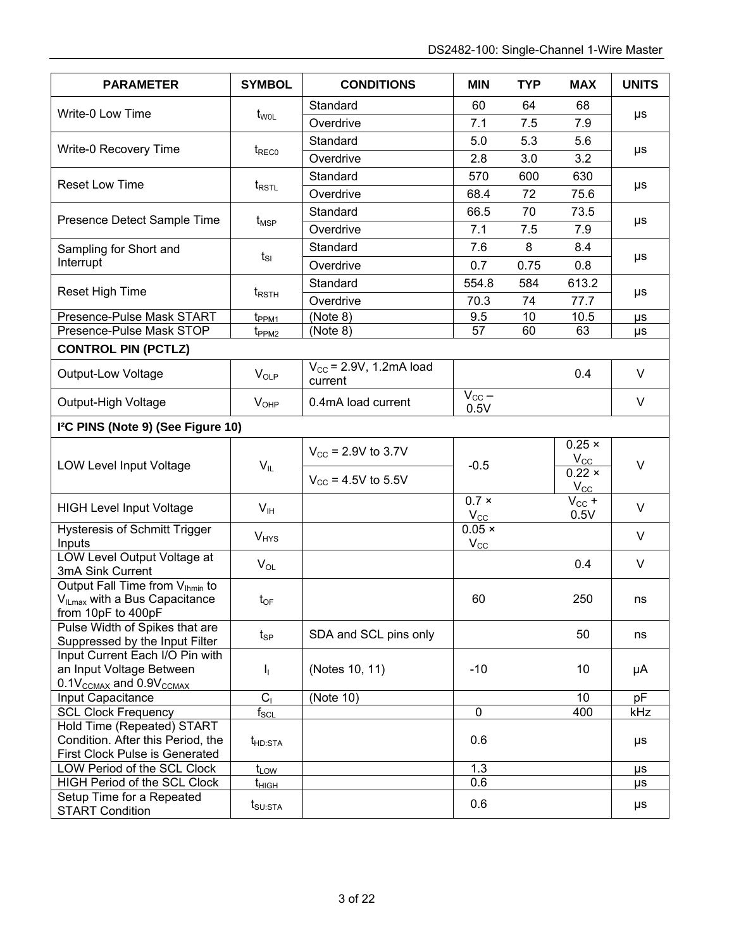| <b>PARAMETER</b>                                                 | <b>SYMBOL</b>              | <b>CONDITIONS</b>              | <b>MIN</b>         | <b>TYP</b> | <b>MAX</b>                 | <b>UNITS</b> |  |
|------------------------------------------------------------------|----------------------------|--------------------------------|--------------------|------------|----------------------------|--------------|--|
|                                                                  |                            | Standard                       | 60                 | 64         | 68                         |              |  |
| Write-0 Low Time                                                 | t <sub>wol</sub>           | Overdrive                      | 7.1                | 7.5        | 7.9                        | μs           |  |
|                                                                  |                            | Standard                       | 5.0                | 5.3        | 5.6                        |              |  |
| Write-0 Recovery Time                                            | $t_{\text{RECO}}$          | Overdrive                      | 2.8                | 3.0        | 3.2                        | μs           |  |
|                                                                  |                            | Standard                       | 570                | 600        | 630                        |              |  |
| <b>Reset Low Time</b>                                            | $t_{RSTL}$                 | Overdrive                      | 68.4               | 72         | 75.6                       | μs           |  |
|                                                                  |                            | Standard                       | 66.5               | 70         | 73.5                       |              |  |
| Presence Detect Sample Time                                      | $t_{\mathsf{MSP}}$         | Overdrive                      | 7.1                | 7.5        | 7.9                        | μs           |  |
| Sampling for Short and                                           |                            | Standard                       | 7.6                | 8          | 8.4                        |              |  |
| Interrupt                                                        | $t_{SI}$                   | Overdrive                      | 0.7                | 0.75       | 0.8                        | μs           |  |
|                                                                  |                            | Standard                       | 554.8              | 584        | 613.2                      |              |  |
| Reset High Time                                                  | $t_{RSTH}$                 | Overdrive                      | 70.3               | 74         | 77.7                       | μs           |  |
| Presence-Pulse Mask START                                        | t <sub>PPM1</sub>          | (Note 8)                       | 9.5                | 10         | 10.5                       | μs           |  |
| Presence-Pulse Mask STOP                                         | $t_{PPM2}$                 | (Note 8)                       | 57                 | 60         | 63                         | μs           |  |
| <b>CONTROL PIN (PCTLZ)</b>                                       |                            |                                |                    |            |                            |              |  |
|                                                                  |                            | $V_{CC}$ = 2.9V, 1.2mA load    |                    |            |                            |              |  |
| Output-Low Voltage                                               | $V_{OLP}$                  | current                        |                    |            | 0.4                        | V            |  |
| Output-High Voltage                                              | $V_{OHP}$                  | 0.4mA load current             | $V_{CC}$ –<br>0.5V |            |                            | V            |  |
| I <sup>2</sup> C PINS (Note 9) (See Figure 10)                   |                            |                                |                    |            |                            |              |  |
|                                                                  |                            |                                |                    |            | $0.25 \times$              |              |  |
| LOW Level Input Voltage                                          | $\mathsf{V}_{\mathsf{IL}}$ | $V_{\text{CC}}$ = 2.9V to 3.7V | $-0.5$             |            | $V_{\rm CC}$               | $\vee$       |  |
|                                                                  |                            | $V_{CC}$ = 4.5V to 5.5V        |                    |            | $0.22 \times$              |              |  |
|                                                                  |                            |                                | $0.7 \times$       |            | $V_{\rm CC}$<br>$V_{CC}$ + |              |  |
| <b>HIGH Level Input Voltage</b>                                  | V <sub>IH</sub>            |                                | $V_{\rm CC}$       |            | 0.5V                       | $\vee$       |  |
| <b>Hysteresis of Schmitt Trigger</b>                             | $V_{HYS}$                  |                                | $0.05 \times$      |            |                            | $\vee$       |  |
| Inputs                                                           |                            |                                | $V_{\rm CC}$       |            |                            |              |  |
| LOW Level Output Voltage at<br>3mA Sink Current                  | $V_{OL}$                   |                                |                    |            | 0.4                        | $\vee$       |  |
| Output Fall Time from V <sub>Ihmin</sub> to                      |                            |                                |                    |            |                            |              |  |
| V <sub>ILmax</sub> with a Bus Capacitance                        | $t_{OF}$                   |                                | 60                 |            | 250                        | ns           |  |
| from 10pF to 400pF                                               |                            |                                |                    |            |                            |              |  |
| Pulse Width of Spikes that are<br>Suppressed by the Input Filter | $t_{\rm SP}$               | SDA and SCL pins only          |                    |            | 50                         | ns           |  |
| Input Current Each I/O Pin with                                  |                            |                                |                    |            |                            |              |  |
| an Input Voltage Between                                         | Т,                         | (Notes 10, 11)                 | $-10$              |            | 10                         | μA           |  |
| $0.1V_{\text{CCMAX}}$ and $0.9V_{\text{CCMAX}}$                  |                            |                                |                    |            |                            |              |  |
| Input Capacitance                                                | C <sub>1</sub>             | (Note 10)                      |                    |            | 10                         | pF           |  |
| <b>SCL Clock Frequency</b>                                       | $f_{\rm SCL}$              |                                | $\mathbf 0$        |            | 400                        | kHz          |  |
| Hold Time (Repeated) START                                       |                            |                                |                    |            |                            |              |  |
| Condition. After this Period, the                                | t <sub>HD:STA</sub>        |                                | 0.6                |            |                            | μs           |  |
| First Clock Pulse is Generated                                   |                            |                                |                    |            |                            |              |  |
| LOW Period of the SCL Clock                                      | $t_{\text{LOW}}$           |                                | 1.3                |            |                            | μs           |  |
| <b>HIGH Period of the SCL Clock</b>                              | t <sub>нісн</sub>          |                                | 0.6                |            |                            | μs           |  |
| Setup Time for a Repeated<br><b>START Condition</b>              | $t_{\text{SU:STA}}$        |                                | 0.6                |            |                            | μs           |  |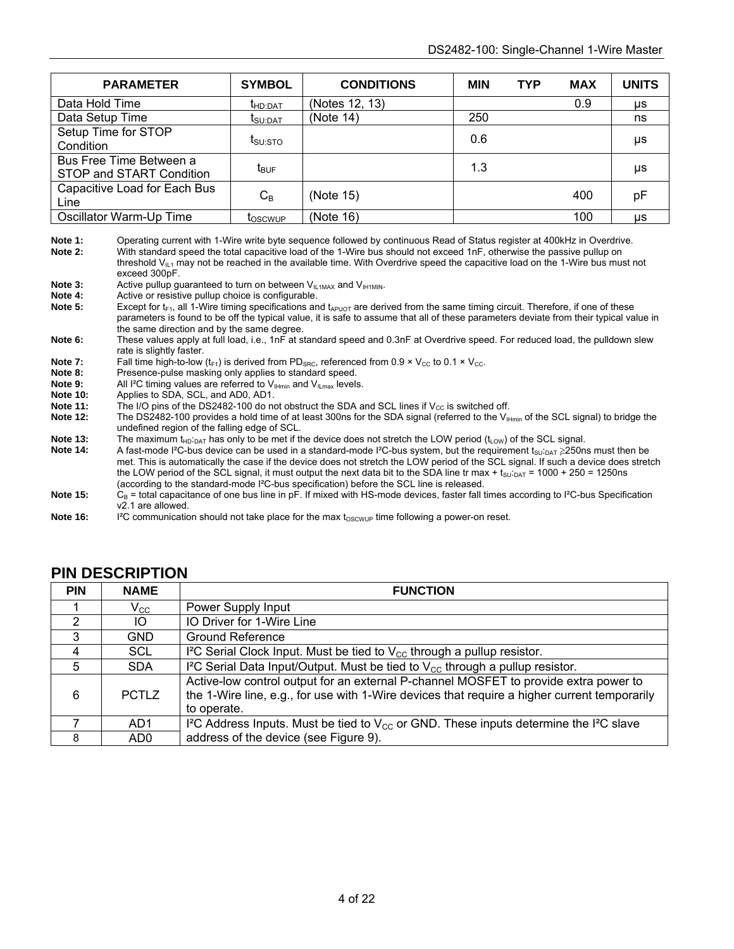| <b>PARAMETER</b>                                    | <b>SYMBOL</b>                | <b>CONDITIONS</b> | <b>MIN</b> | <b>TYP</b> | <b>MAX</b> | <b>UNITS</b> |
|-----------------------------------------------------|------------------------------|-------------------|------------|------------|------------|--------------|
| Data Hold Time                                      | LHD:DAT                      | (Notes 12, 13)    |            |            | 0.9        | μs           |
| Data Setup Time                                     | $\mathbf{I}_{\text{SU:DAT}}$ | (Note 14)         | 250        |            |            | ns           |
| Setup Time for STOP<br>Condition                    | t <sub>SU:STO</sub>          |                   | 0.6        |            |            | μs           |
| Bus Free Time Between a<br>STOP and START Condition | $t_{\text{BUF}}$             |                   | 1.3        |            |            | μs           |
| Capacitive Load for Each Bus<br>Line                | $C_B$                        | (Note 15)         |            |            | 400        | pF           |
| Oscillator Warm-Up Time                             | <b>LOSCWUP</b>               | (Note 16)         |            |            | 100        | <b>US</b>    |

Note 1: Operating current with 1-Wire write byte sequence followed by continuous Read of Status register at 400kHz in Overdrive. **Note 2:** With standard speed the total capacitive load of the 1-Wire bus should not exceed 1nF, otherwise the passive pullup on threshold V $_{\text{II-1}}$  may not be reached in the available time. With Overdrive speed the capacitive load on the 1-Wire bus must not exceed 300pF.

**Note 3:** Active pullup guaranteed to turn on between  $V_{IL1MAX}$  and  $V_{IH1MIN}$ .<br>Note 4: Active or resistive pullup choice is configurable

Active or resistive pullup choice is configurable.

**Note 5:** Except for  $t_{F1}$ , all 1-Wire timing specifications and  $t_{APUOT}$  are derived from the same timing circuit. Therefore, if one of these parameters is found to be off the typical value, it is safe to assume that all of these parameters deviate from their typical value in the same direction and by the same degree.

**Note 6:** These values apply at full load, i.e., 1nF at standard speed and 0.3nF at Overdrive speed. For reduced load, the pulldown slew rate is slightly faster.

**Note 7:** Fall time high-to-low ( $t_F1$ ) is derived from PD<sub>SRC</sub>, referenced from 0.9 × V<sub>CC</sub> to 0.1 × V<sub>CC</sub>.<br>Note 8: Presence-pulse masking only applies to standard speed.

**Note 8:** Presence-pulse masking only applies to standard speed.<br>**Note 9:** All I<sup>2</sup>C timing values are referred to V<sub>IHmin</sub> and V<sub>II may</sub> levels **Note 9:** All <sup>12</sup>C timing values are referred to  $V_{\text{H-min}}$  and  $V_{\text{I,max}}$  levels.<br>Note 10: Applies to SDA SCL and AD0 AD1

- **Note 10:** Applies to SDA, SCL, and AD0, AD1.<br>**Note 11:** The I/O pins of the DS2482-100 do no
- **Note 11:** The I/O pins of the DS2482-100 do not obstruct the SDA and SCL lines if V<sub>CC</sub> is switched off.<br>Note 12: The DS2482-100 provides a hold time of at least 300ns for the SDA signal (referred to the V<sub>In</sub>
- The DS2482-100 provides a hold time of at least 300ns for the SDA signal (referred to the V<sub>IHmin</sub> of the SCL signal) to bridge the undefined region of the falling edge of SCL.

**Note 13:** The maximum t<sub>HD</sub>:<sub>DAT</sub> has only to be met if the device does not stretch the LOW period (t<sub>LOW</sub>) of the SCL signal.<br>**Note 14:** A fast-mode I<sup>2</sup>C-bus device can be used in a standard-mode I<sup>2</sup>C-bus system, but

- A fast-mode I<sup>2</sup>C-bus device can be used in a standard-mode I<sup>2</sup>C-bus system, but the requirement t<sub>su</sub>:<sub>DAT</sub> ≥250ns must then be met. This is automatically the case if the device does not stretch the LOW period of the SCL signal. If such a device does stretch the LOW period of the SCL signal, it must output the next data bit to the SDA line tr max +  $t_{\text{SU-DAT}}$  = 1000 + 250 = 1250ns (according to the standard-mode I²C-bus specification) before the SCL line is released.

- Note 15: C<sub>B</sub> = total capacitance of one bus line in pF. If mixed with HS-mode devices, faster fall times according to I<sup>2</sup>C-bus Specification v2.1 are allowed.
- Note 16: <sup>I2</sup>C communication should not take place for the max t<sub>OSCWUP</sub> time following a power-on reset.

| <b>PIN</b> | <b>NAME</b>     | <b>FUNCTION</b>                                                                                                                                                                                     |
|------------|-----------------|-----------------------------------------------------------------------------------------------------------------------------------------------------------------------------------------------------|
|            | $V_{\rm CC}$    | Power Supply Input                                                                                                                                                                                  |
| 2          | IO.             | IO Driver for 1-Wire Line                                                                                                                                                                           |
| 3          | <b>GND</b>      | <b>Ground Reference</b>                                                                                                                                                                             |
|            | <b>SCL</b>      | I <sup>2</sup> C Serial Clock Input. Must be tied to $V_{\rm CC}$ through a pullup resistor.                                                                                                        |
| 5          | <b>SDA</b>      | I <sup>2</sup> C Serial Data Input/Output. Must be tied to $V_{CC}$ through a pullup resistor.                                                                                                      |
| 6          | <b>PCTLZ</b>    | Active-low control output for an external P-channel MOSFET to provide extra power to<br>the 1-Wire line, e.g., for use with 1-Wire devices that require a higher current temporarily<br>to operate. |
|            | AD <sub>1</sub> | I <sup>2</sup> C Address Inputs. Must be tied to $V_{CC}$ or GND. These inputs determine the I <sup>2</sup> C slave                                                                                 |
| 8          | AD <sub>0</sub> | address of the device (see Figure 9).                                                                                                                                                               |

#### **PIN DESCRIPTION**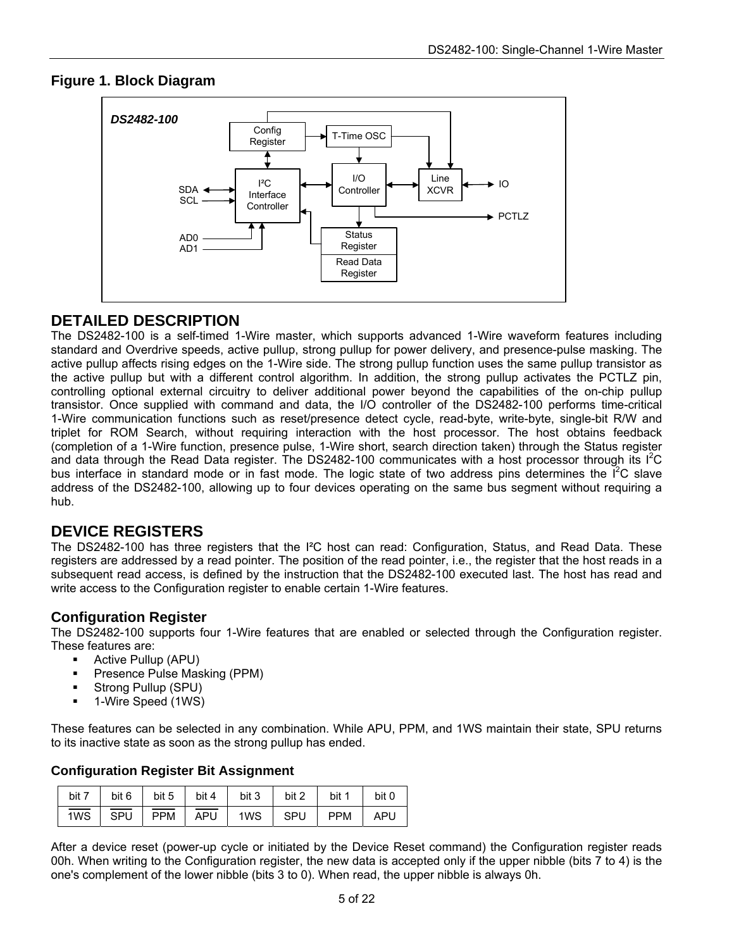### **Figure 1. Block Diagram**



### **DETAILED DESCRIPTION**

The DS2482-100 is a self-timed 1-Wire master, which supports advanced 1-Wire waveform features including standard and Overdrive speeds, active pullup, strong pullup for power delivery, and presence-pulse masking. The active pullup affects rising edges on the 1-Wire side. The strong pullup function uses the same pullup transistor as the active pullup but with a different control algorithm. In addition, the strong pullup activates the PCTLZ pin, controlling optional external circuitry to deliver additional power beyond the capabilities of the on-chip pullup transistor. Once supplied with command and data, the I/O controller of the DS2482-100 performs time-critical 1-Wire communication functions such as reset/presence detect cycle, read-byte, write-byte, single-bit R/W and triplet for ROM Search, without requiring interaction with the host processor. The host obtains feedback (completion of a 1-Wire function, presence pulse, 1-Wire short, search direction taken) through the Status register and data through the Read Data register. The DS2482-100 communicates with a host processor through its  $1^2C$ bus interface in standard mode or in fast mode. The logic state of two address pins determines the I<sup>2</sup>C slave address of the DS2482-100, allowing up to four devices operating on the same bus segment without requiring a hub.

### **DEVICE REGISTERS**

The DS2482-100 has three registers that the I²C host can read: Configuration, Status, and Read Data. These registers are addressed by a read pointer. The position of the read pointer, i.e., the register that the host reads in a subsequent read access, is defined by the instruction that the DS2482-100 executed last. The host has read and write access to the Configuration register to enable certain 1-Wire features.

#### **Configuration Register**

The DS2482-100 supports four 1-Wire features that are enabled or selected through the Configuration register. These features are:

- **Active Pullup (APU)**
- **Presence Pulse Masking (PPM)**
- **Strong Pullup (SPU)**
- 1-Wire Speed (1WS)

These features can be selected in any combination. While APU, PPM, and 1WS maintain their state, SPU returns to its inactive state as soon as the strong pullup has ended.

#### **Configuration Register Bit Assignment**

|  |  |  | bit 7   bit 6   bit 5   bit 4   bit 3   bit 2   bit 1   bit 0                                                                                                                                                                                                                                    |  |
|--|--|--|--------------------------------------------------------------------------------------------------------------------------------------------------------------------------------------------------------------------------------------------------------------------------------------------------|--|
|  |  |  | $\frac{1}{1}$ $\sqrt{10}$   $\frac{1}{1}$ $\sqrt{10}$   $\frac{1}{1}$ $\sqrt{10}$   $\sqrt{10}$   $\sqrt{10}$   $\sqrt{10}$   $\sqrt{10}$   $\sqrt{10}$   $\sqrt{10}$   $\sqrt{10}$   $\sqrt{10}$   $\sqrt{10}$   $\sqrt{10}$   $\sqrt{10}$   $\sqrt{10}$   $\sqrt{10}$   $\sqrt{10}$   $\sqrt{$ |  |

After a device reset (power-up cycle or initiated by the Device Reset command) the Configuration register reads 00h. When writing to the Configuration register, the new data is accepted only if the upper nibble (bits 7 to 4) is the one's complement of the lower nibble (bits 3 to 0). When read, the upper nibble is always 0h.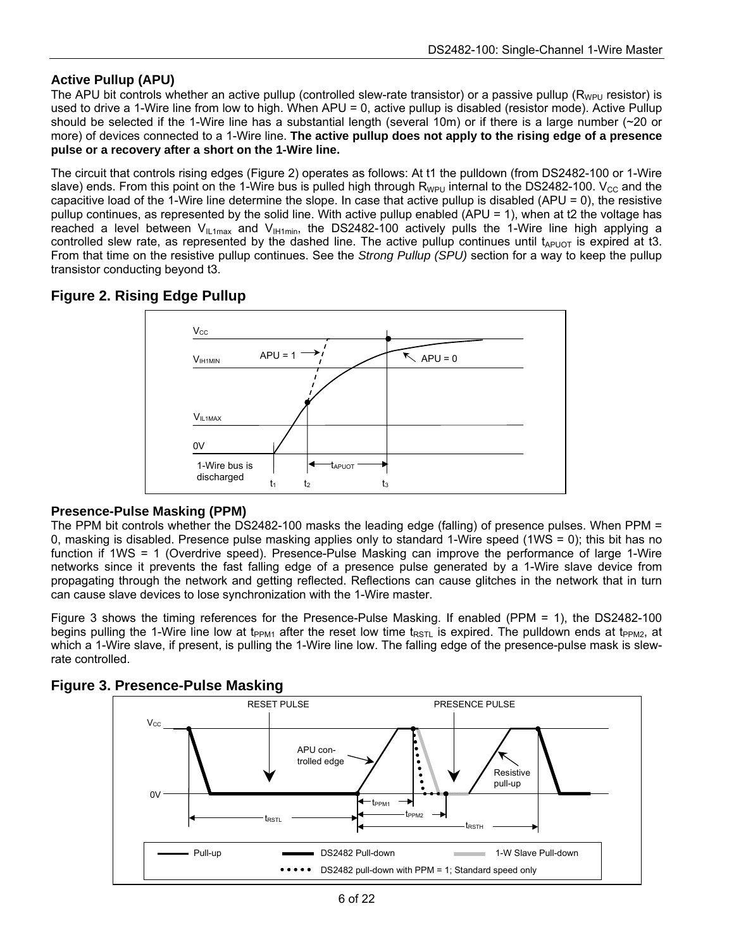### **Active Pullup (APU)**

The APU bit controls whether an active pullup (controlled slew-rate transistor) or a passive pullup ( $R_{WPIU}$  resistor) is used to drive a 1-Wire line from low to high. When APU = 0, active pullup is disabled (resistor mode). Active Pullup should be selected if the 1-Wire line has a substantial length (several 10m) or if there is a large number (~20 or more) of devices connected to a 1-Wire line. **The active pullup does not apply to the rising edge of a presence pulse or a recovery after a short on the 1-Wire line.**

The circuit that controls rising edges (Figure 2) operates as follows: At t1 the pulldown (from DS2482-100 or 1-Wire slave) ends. From this point on the 1-Wire bus is pulled high through  $R_{WPI}$  internal to the DS2482-100. V<sub>CC</sub> and the capacitive load of the 1-Wire line determine the slope. In case that active pullup is disabled (APU =  $0$ ), the resistive pullup continues, as represented by the solid line. With active pullup enabled (APU = 1), when at t2 the voltage has reached a level between  $V_{1L1max}$  and  $V_{1H1min}$ , the DS2482-100 actively pulls the 1-Wire line high applying a controlled slew rate, as represented by the dashed line. The active pullup continues until  $t_{APUOT}$  is expired at t3. From that time on the resistive pullup continues. See the *Strong Pullup (SPU)* section for a way to keep the pullup transistor conducting beyond t3.

### **Figure 2. Rising Edge Pullup**



### **Presence-Pulse Masking (PPM)**

The PPM bit controls whether the DS2482-100 masks the leading edge (falling) of presence pulses. When PPM = 0, masking is disabled. Presence pulse masking applies only to standard 1-Wire speed (1WS = 0); this bit has no function if 1WS = 1 (Overdrive speed). Presence-Pulse Masking can improve the performance of large 1-Wire networks since it prevents the fast falling edge of a presence pulse generated by a 1-Wire slave device from propagating through the network and getting reflected. Reflections can cause glitches in the network that in turn can cause slave devices to lose synchronization with the 1-Wire master.

Figure 3 shows the timing references for the Presence-Pulse Masking. If enabled (PPM = 1), the DS2482-100 begins pulling the 1-Wire line low at t<sub>PPM1</sub> after the reset low time t<sub>RSTL</sub> is expired. The pulldown ends at t<sub>PPM2</sub>, at which a 1-Wire slave, if present, is pulling the 1-Wire line low. The falling edge of the presence-pulse mask is slewrate controlled.



### **Figure 3. Presence-Pulse Masking**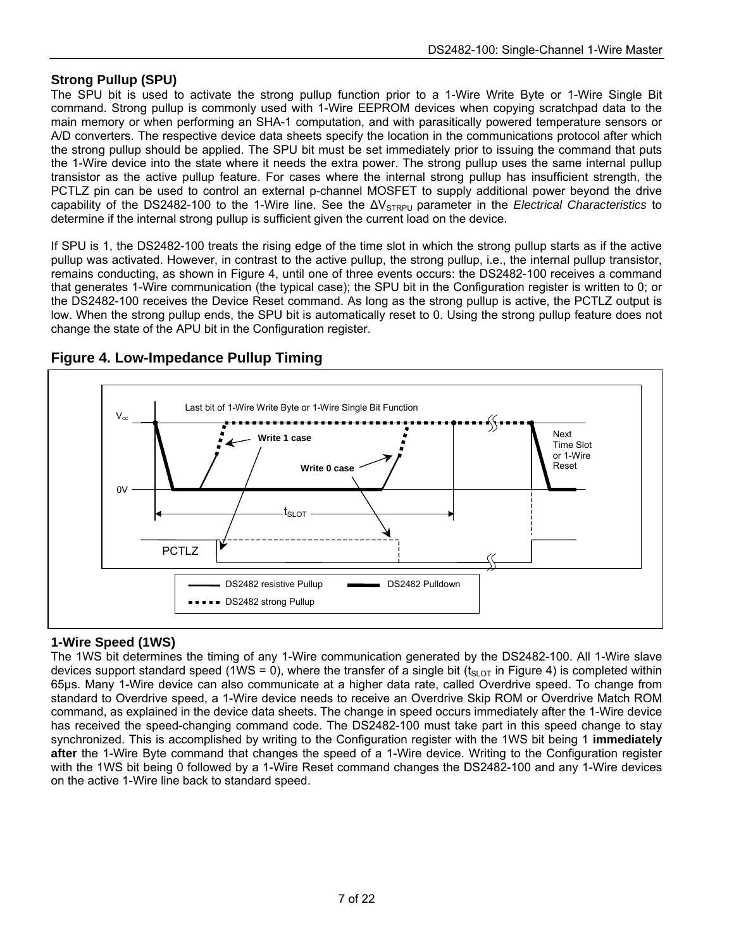#### **Strong Pullup (SPU)**

The SPU bit is used to activate the strong pullup function prior to a 1-Wire Write Byte or 1-Wire Single Bit command. Strong pullup is commonly used with 1-Wire EEPROM devices when copying scratchpad data to the main memory or when performing an SHA-1 computation, and with parasitically powered temperature sensors or A/D converters. The respective device data sheets specify the location in the communications protocol after which the strong pullup should be applied. The SPU bit must be set immediately prior to issuing the command that puts the 1-Wire device into the state where it needs the extra power. The strong pullup uses the same internal pullup transistor as the active pullup feature. For cases where the internal strong pullup has insufficient strength, the PCTLZ pin can be used to control an external p-channel MOSFET to supply additional power beyond the drive capability of the DS2482-100 to the 1-Wire line. See the ΔV<sub>STRPU</sub> parameter in the *Electrical Characteristics* to determine if the internal strong pullup is sufficient given the current load on the device.

If SPU is 1, the DS2482-100 treats the rising edge of the time slot in which the strong pullup starts as if the active pullup was activated. However, in contrast to the active pullup, the strong pullup, i.e., the internal pullup transistor, remains conducting, as shown in Figure 4, until one of three events occurs: the DS2482-100 receives a command that generates 1-Wire communication (the typical case); the SPU bit in the Configuration register is written to 0; or the DS2482-100 receives the Device Reset command. As long as the strong pullup is active, the PCTLZ output is low. When the strong pullup ends, the SPU bit is automatically reset to 0. Using the strong pullup feature does not change the state of the APU bit in the Configuration register.



### **Figure 4. Low-Impedance Pullup Timing**

#### **1-Wire Speed (1WS)**

The 1WS bit determines the timing of any 1-Wire communication generated by the DS2482-100. All 1-Wire slave devices support standard speed (1WS = 0), where the transfer of a single bit (t<sub>SLOT</sub> in Figure 4) is completed within 65µs. Many 1-Wire device can also communicate at a higher data rate, called Overdrive speed. To change from standard to Overdrive speed, a 1-Wire device needs to receive an Overdrive Skip ROM or Overdrive Match ROM command, as explained in the device data sheets. The change in speed occurs immediately after the 1-Wire device has received the speed-changing command code. The DS2482-100 must take part in this speed change to stay synchronized. This is accomplished by writing to the Configuration register with the 1WS bit being 1 **immediately after** the 1-Wire Byte command that changes the speed of a 1-Wire device. Writing to the Configuration register with the 1WS bit being 0 followed by a 1-Wire Reset command changes the DS2482-100 and any 1-Wire devices on the active 1-Wire line back to standard speed.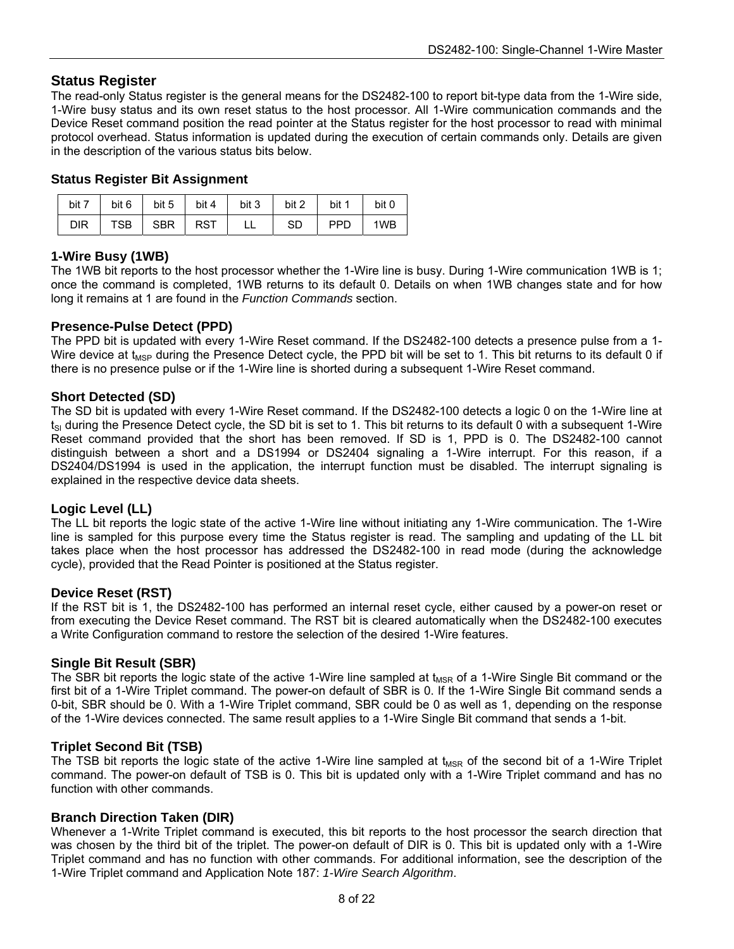#### **Status Register**

The read-only Status register is the general means for the DS2482-100 to report bit-type data from the 1-Wire side, 1-Wire busy status and its own reset status to the host processor. All 1-Wire communication commands and the Device Reset command position the read pointer at the Status register for the host processor to read with minimal protocol overhead. Status information is updated during the execution of certain commands only. Details are given in the description of the various status bits below.

#### **Status Register Bit Assignment**

| bit 7      | bit 6   bit 5   bit 4 | bit 3 | bit 2 | bit 1      | bit 0 |
|------------|-----------------------|-------|-------|------------|-------|
| <b>DIR</b> | TSB SBR RST           | LL.   | -SD   | <b>PPD</b> | 1WB   |

#### **1-Wire Busy (1WB)**

The 1WB bit reports to the host processor whether the 1-Wire line is busy. During 1-Wire communication 1WB is 1; once the command is completed, 1WB returns to its default 0. Details on when 1WB changes state and for how long it remains at 1 are found in the *Function Commands* section.

#### **Presence-Pulse Detect (PPD)**

The PPD bit is updated with every 1-Wire Reset command. If the DS2482-100 detects a presence pulse from a 1- Wire device at  $t_{\text{MSP}}$  during the Presence Detect cycle, the PPD bit will be set to 1. This bit returns to its default 0 if there is no presence pulse or if the 1-Wire line is shorted during a subsequent 1-Wire Reset command.

#### **Short Detected (SD)**

The SD bit is updated with every 1-Wire Reset command. If the DS2482-100 detects a logic 0 on the 1-Wire line at  $t_{\rm SI}$  during the Presence Detect cycle, the SD bit is set to 1. This bit returns to its default 0 with a subsequent 1-Wire Reset command provided that the short has been removed. If SD is 1, PPD is 0. The DS2482-100 cannot distinguish between a short and a DS1994 or DS2404 signaling a 1-Wire interrupt. For this reason, if a DS2404/DS1994 is used in the application, the interrupt function must be disabled. The interrupt signaling is explained in the respective device data sheets.

#### **Logic Level (LL)**

The LL bit reports the logic state of the active 1-Wire line without initiating any 1-Wire communication. The 1-Wire line is sampled for this purpose every time the Status register is read. The sampling and updating of the LL bit takes place when the host processor has addressed the DS2482-100 in read mode (during the acknowledge cycle), provided that the Read Pointer is positioned at the Status register.

#### **Device Reset (RST)**

If the RST bit is 1, the DS2482-100 has performed an internal reset cycle, either caused by a power-on reset or from executing the Device Reset command. The RST bit is cleared automatically when the DS2482-100 executes a Write Configuration command to restore the selection of the desired 1-Wire features.

#### **Single Bit Result (SBR)**

The SBR bit reports the logic state of the active 1-Wire line sampled at  $t_{\text{MSR}}$  of a 1-Wire Single Bit command or the first bit of a 1-Wire Triplet command. The power-on default of SBR is 0. If the 1-Wire Single Bit command sends a 0-bit, SBR should be 0. With a 1-Wire Triplet command, SBR could be 0 as well as 1, depending on the response of the 1-Wire devices connected. The same result applies to a 1-Wire Single Bit command that sends a 1-bit.

#### **Triplet Second Bit (TSB)**

The TSB bit reports the logic state of the active 1-Wire line sampled at  $t_{MSR}$  of the second bit of a 1-Wire Triplet command. The power-on default of TSB is 0. This bit is updated only with a 1-Wire Triplet command and has no function with other commands.

#### **Branch Direction Taken (DIR)**

Whenever a 1-Write Triplet command is executed, this bit reports to the host processor the search direction that was chosen by the third bit of the triplet. The power-on default of DIR is 0. This bit is updated only with a 1-Wire Triplet command and has no function with other commands. For additional information, see the description of the 1-Wire Triplet command and Application Note 187: *1-Wire Search Algorithm*.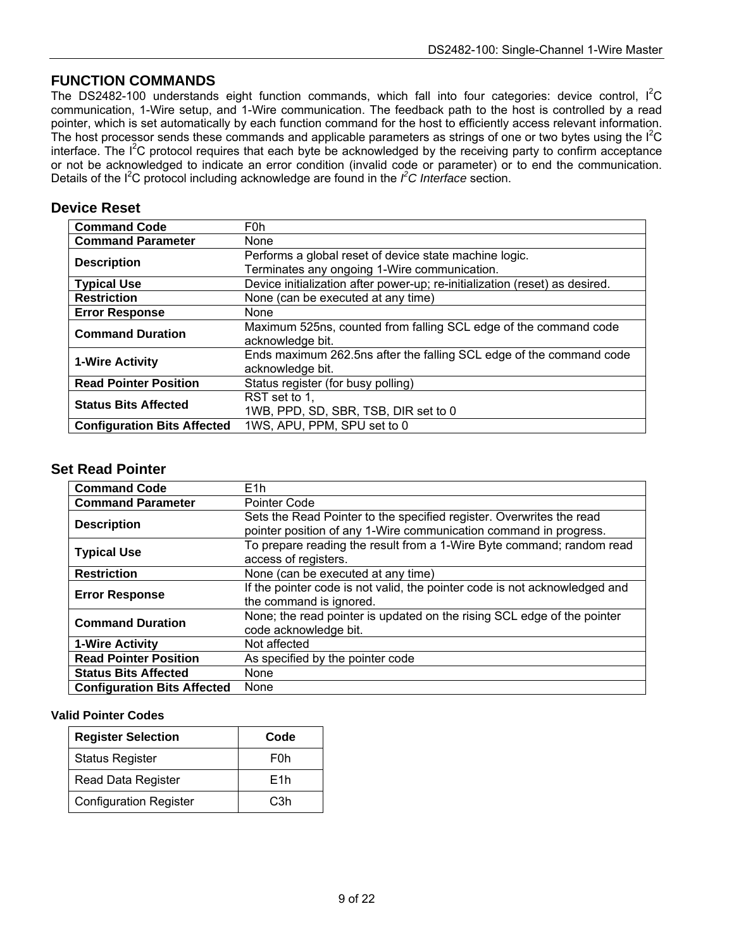### **FUNCTION COMMANDS**

The DS2482-100 understands eight function commands, which fall into four categories: device control,  $I^2C$ communication, 1-Wire setup, and 1-Wire communication. The feedback path to the host is controlled by a read pointer, which is set automatically by each function command for the host to efficiently access relevant information. The host processor sends these commands and applicable parameters as strings of one or two bytes using the  $I^2C$ interface. The I<sup>2</sup>C protocol requires that each byte be acknowledged by the receiving party to confirm acceptance or not be acknowledged to indicate an error condition (invalid code or parameter) or to end the communication. Details of the  $I^2C$  protocol including acknowledge are found in the  $\hat{f}C$  Interface section.

#### **Device Reset**

| <b>Command Code</b>                | F <sub>0</sub> h                                                            |
|------------------------------------|-----------------------------------------------------------------------------|
| <b>Command Parameter</b>           | None                                                                        |
|                                    | Performs a global reset of device state machine logic.                      |
| <b>Description</b>                 | Terminates any ongoing 1-Wire communication.                                |
| <b>Typical Use</b>                 | Device initialization after power-up; re-initialization (reset) as desired. |
| <b>Restriction</b>                 | None (can be executed at any time)                                          |
| <b>Error Response</b>              | None                                                                        |
| <b>Command Duration</b>            | Maximum 525ns, counted from falling SCL edge of the command code            |
|                                    | acknowledge bit.                                                            |
| <b>1-Wire Activity</b>             | Ends maximum 262.5ns after the falling SCL edge of the command code         |
|                                    | acknowledge bit.                                                            |
| <b>Read Pointer Position</b>       | Status register (for busy polling)                                          |
| <b>Status Bits Affected</b>        | RST set to 1.                                                               |
|                                    | 1WB, PPD, SD, SBR, TSB, DIR set to 0                                        |
| <b>Configuration Bits Affected</b> | 1WS, APU, PPM, SPU set to 0                                                 |

#### **Set Read Pointer**

| <b>Command Code</b>                | E <sub>1</sub> h                                                           |
|------------------------------------|----------------------------------------------------------------------------|
| <b>Command Parameter</b>           | Pointer Code                                                               |
| <b>Description</b>                 | Sets the Read Pointer to the specified register. Overwrites the read       |
|                                    | pointer position of any 1-Wire communication command in progress.          |
| <b>Typical Use</b>                 | To prepare reading the result from a 1-Wire Byte command; random read      |
|                                    | access of registers.                                                       |
| <b>Restriction</b>                 | None (can be executed at any time)                                         |
| <b>Error Response</b>              | If the pointer code is not valid, the pointer code is not acknowledged and |
|                                    | the command is ignored.                                                    |
| <b>Command Duration</b>            | None; the read pointer is updated on the rising SCL edge of the pointer    |
|                                    | code acknowledge bit.                                                      |
| <b>1-Wire Activity</b>             | Not affected                                                               |
| <b>Read Pointer Position</b>       | As specified by the pointer code                                           |
| <b>Status Bits Affected</b>        | None                                                                       |
| <b>Configuration Bits Affected</b> | None                                                                       |

#### **Valid Pointer Codes**

| <b>Register Selection</b>     | Code |
|-------------------------------|------|
| <b>Status Register</b>        | F0h  |
| Read Data Register            | F1h  |
| <b>Configuration Register</b> | C3h  |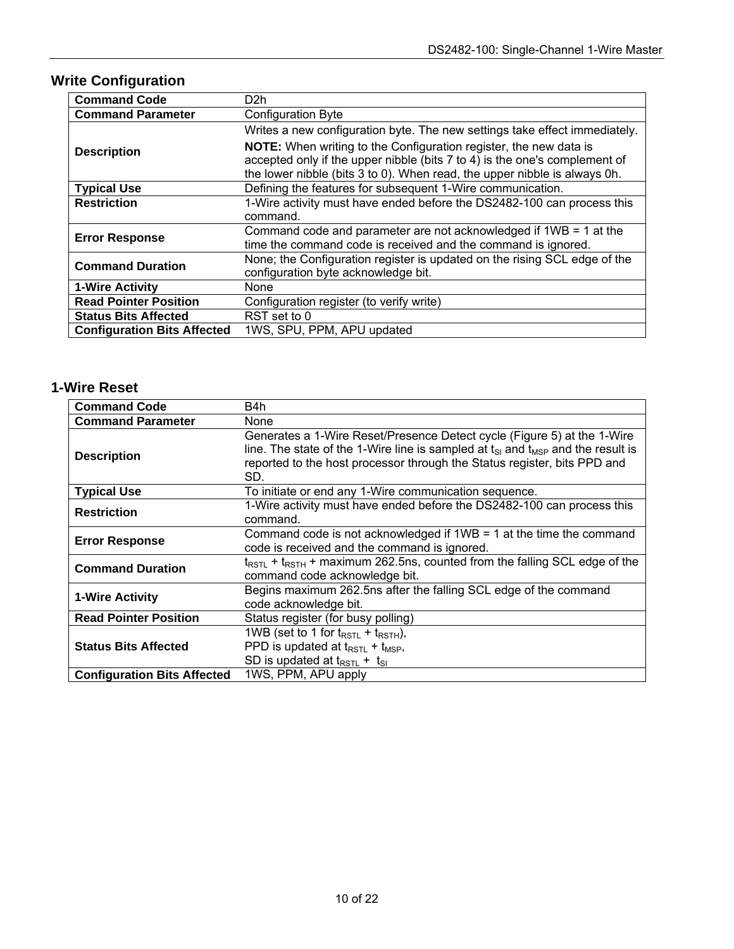# **Write Configuration**

| <b>Command Code</b>                | D2h                                                                        |
|------------------------------------|----------------------------------------------------------------------------|
| <b>Command Parameter</b>           | <b>Configuration Byte</b>                                                  |
|                                    | Writes a new configuration byte. The new settings take effect immediately. |
| <b>Description</b>                 | NOTE: When writing to the Configuration register, the new data is          |
|                                    | accepted only if the upper nibble (bits 7 to 4) is the one's complement of |
|                                    | the lower nibble (bits 3 to 0). When read, the upper nibble is always 0h.  |
| <b>Typical Use</b>                 | Defining the features for subsequent 1-Wire communication.                 |
| <b>Restriction</b>                 | 1-Wire activity must have ended before the DS2482-100 can process this     |
|                                    | command.                                                                   |
| <b>Error Response</b>              | Command code and parameter are not acknowledged if 1WB = 1 at the          |
|                                    | time the command code is received and the command is ignored.              |
| <b>Command Duration</b>            | None; the Configuration register is updated on the rising SCL edge of the  |
|                                    | configuration byte acknowledge bit.                                        |
| <b>1-Wire Activity</b>             | None                                                                       |
| <b>Read Pointer Position</b>       | Configuration register (to verify write)                                   |
| <b>Status Bits Affected</b>        | RST set to 0                                                               |
| <b>Configuration Bits Affected</b> | 1WS, SPU, PPM, APU updated                                                 |

### **1-Wire Reset**

| <b>Command Code</b>                | B4h                                                                                                                                                                                                                                                             |
|------------------------------------|-----------------------------------------------------------------------------------------------------------------------------------------------------------------------------------------------------------------------------------------------------------------|
| <b>Command Parameter</b>           | None                                                                                                                                                                                                                                                            |
| <b>Description</b>                 | Generates a 1-Wire Reset/Presence Detect cycle (Figure 5) at the 1-Wire<br>line. The state of the 1-Wire line is sampled at $t_{\rm SI}$ and $t_{\rm MSP}$ and the result is<br>reported to the host processor through the Status register, bits PPD and<br>SD. |
| <b>Typical Use</b>                 | To initiate or end any 1-Wire communication sequence.                                                                                                                                                                                                           |
| <b>Restriction</b>                 | 1-Wire activity must have ended before the DS2482-100 can process this<br>command.                                                                                                                                                                              |
| <b>Error Response</b>              | Command code is not acknowledged if $1WB = 1$ at the time the command<br>code is received and the command is ignored.                                                                                                                                           |
| <b>Command Duration</b>            | $t_{\text{RSTL}}$ + $t_{\text{RSTH}}$ + maximum 262.5ns, counted from the falling SCL edge of the<br>command code acknowledge bit.                                                                                                                              |
| 1-Wire Activity                    | Begins maximum 262.5ns after the falling SCL edge of the command<br>code acknowledge bit.                                                                                                                                                                       |
| <b>Read Pointer Position</b>       | Status register (for busy polling)                                                                                                                                                                                                                              |
| <b>Status Bits Affected</b>        | 1WB (set to 1 for $t_{RSTL}$ + $t_{RSTH}$ ),<br>PPD is updated at $t_{RSTL}$ + $t_{MSP}$ ,<br>SD is updated at $t_{RSTL}$ + $t_{SI}$                                                                                                                            |
| <b>Configuration Bits Affected</b> | 1WS, PPM, APU apply                                                                                                                                                                                                                                             |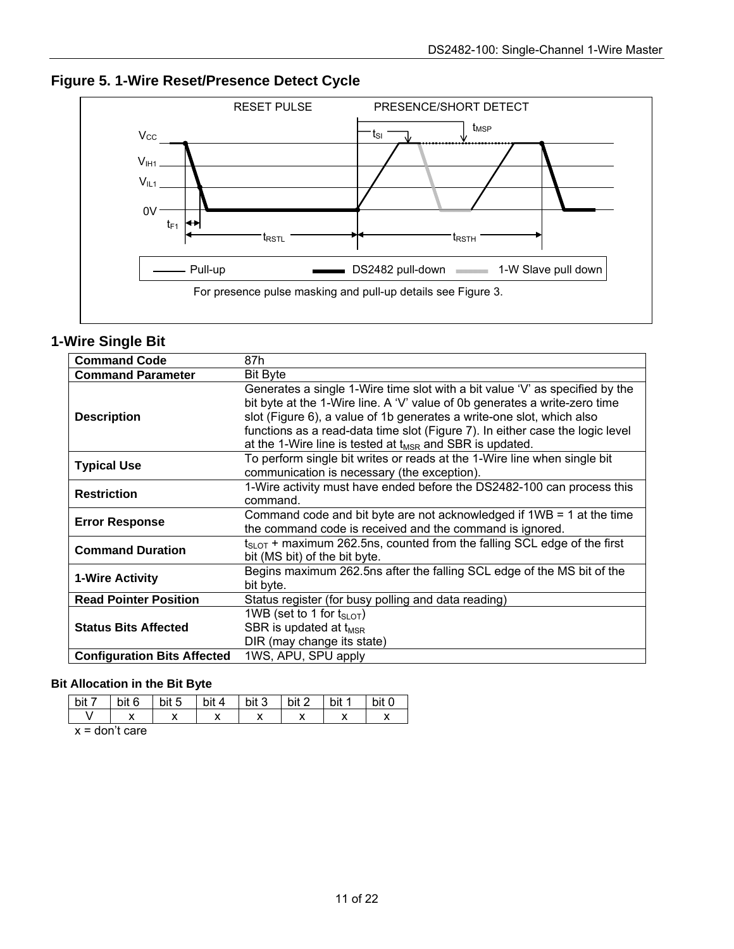**Figure 5. 1-Wire Reset/Presence Detect Cycle**



### **1-Wire Single Bit**

| <b>Command Code</b>                | 87h                                                                                                                                                                                                                                                                                                                                                                                   |
|------------------------------------|---------------------------------------------------------------------------------------------------------------------------------------------------------------------------------------------------------------------------------------------------------------------------------------------------------------------------------------------------------------------------------------|
| <b>Command Parameter</b>           | <b>Bit Byte</b>                                                                                                                                                                                                                                                                                                                                                                       |
| <b>Description</b>                 | Generates a single 1-Wire time slot with a bit value 'V' as specified by the<br>bit byte at the 1-Wire line. A 'V' value of 0b generates a write-zero time<br>slot (Figure 6), a value of 1b generates a write-one slot, which also<br>functions as a read-data time slot (Figure 7). In either case the logic level<br>at the 1-Wire line is tested at $t_{MSR}$ and SBR is updated. |
| <b>Typical Use</b>                 | To perform single bit writes or reads at the 1-Wire line when single bit<br>communication is necessary (the exception).                                                                                                                                                                                                                                                               |
| <b>Restriction</b>                 | 1-Wire activity must have ended before the DS2482-100 can process this<br>command.                                                                                                                                                                                                                                                                                                    |
| <b>Error Response</b>              | Command code and bit byte are not acknowledged if $1WB = 1$ at the time<br>the command code is received and the command is ignored.                                                                                                                                                                                                                                                   |
| <b>Command Duration</b>            | $t_{\text{SLOT}}$ + maximum 262.5ns, counted from the falling SCL edge of the first<br>bit (MS bit) of the bit byte.                                                                                                                                                                                                                                                                  |
| 1-Wire Activity                    | Begins maximum 262.5ns after the falling SCL edge of the MS bit of the<br>bit byte.                                                                                                                                                                                                                                                                                                   |
| <b>Read Pointer Position</b>       | Status register (for busy polling and data reading)                                                                                                                                                                                                                                                                                                                                   |
| <b>Status Bits Affected</b>        | 1WB (set to 1 for $t_{\text{SI OT}}$ )<br>SBR is updated at $t_{MSR}$<br>DIR (may change its state)                                                                                                                                                                                                                                                                                   |
| <b>Configuration Bits Affected</b> | 1WS, APU, SPU apply                                                                                                                                                                                                                                                                                                                                                                   |

#### **Bit Allocation in the Bit Byte**

| bit 6 | bit 5 | hit<br>⊿ ∙ | bit 3 | bit 2 | hit |  |
|-------|-------|------------|-------|-------|-----|--|
|       |       |            |       |       |     |  |

 $x =$  don't care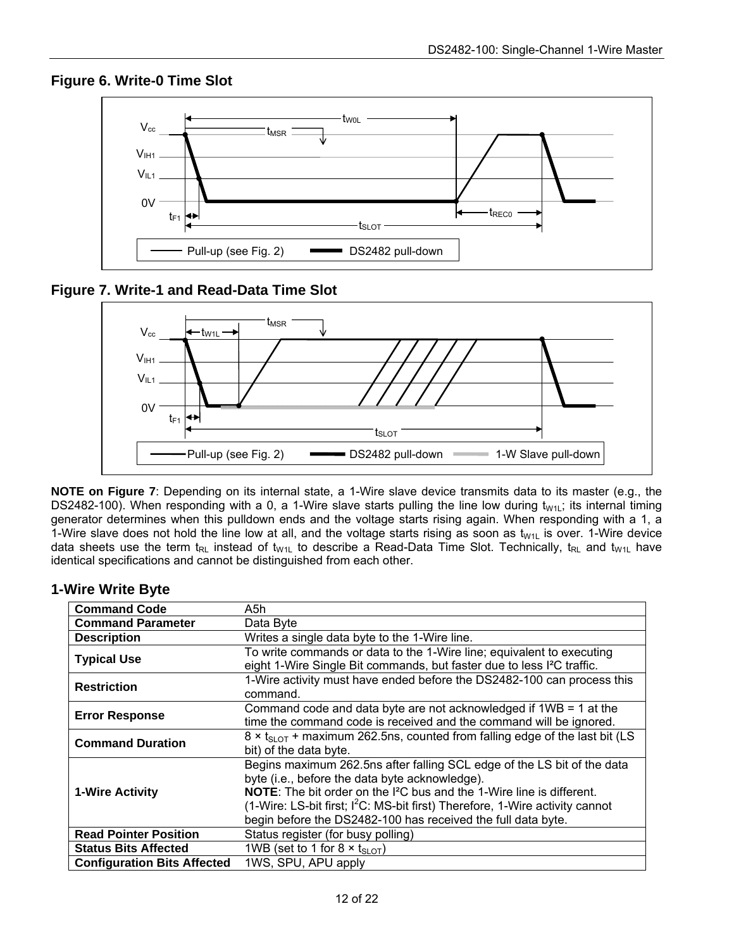### **Figure 6. Write-0 Time Slot**



### **Figure 7. Write-1 and Read-Data Time Slot**



**NOTE on Figure 7**: Depending on its internal state, a 1-Wire slave device transmits data to its master (e.g., the DS2482-100). When responding with a 0, a 1-Wire slave starts pulling the line low during t<sub>W1L</sub>; its internal timing generator determines when this pulldown ends and the voltage starts rising again. When responding with a 1, a 1-Wire slave does not hold the line low at all, and the voltage starts rising as soon as  $t_{W1L}$  is over. 1-Wire device data sheets use the term  $t_{RL}$  instead of  $t_{W1L}$  to describe a Read-Data Time Slot. Technically,  $t_{RL}$  and  $t_{W1L}$  have identical specifications and cannot be distinguished from each other.

### **1-Wire Write Byte**

| <b>Command Code</b>                | A5h                                                                                      |
|------------------------------------|------------------------------------------------------------------------------------------|
| <b>Command Parameter</b>           | Data Byte                                                                                |
| <b>Description</b>                 | Writes a single data byte to the 1-Wire line.                                            |
| <b>Typical Use</b>                 | To write commands or data to the 1-Wire line; equivalent to executing                    |
|                                    | eight 1-Wire Single Bit commands, but faster due to less I <sup>2</sup> C traffic.       |
| <b>Restriction</b>                 | 1-Wire activity must have ended before the DS2482-100 can process this                   |
|                                    | command.                                                                                 |
| <b>Error Response</b>              | Command code and data byte are not acknowledged if $1WB = 1$ at the                      |
|                                    | time the command code is received and the command will be ignored.                       |
| <b>Command Duration</b>            | $8 \times t_{SLOT}$ + maximum 262.5ns, counted from falling edge of the last bit (LS     |
|                                    | bit) of the data byte.                                                                   |
|                                    | Begins maximum 262.5ns after falling SCL edge of the LS bit of the data                  |
|                                    | byte (i.e., before the data byte acknowledge).                                           |
| <b>1-Wire Activity</b>             | <b>NOTE:</b> The bit order on the I <sup>2</sup> C bus and the 1-Wire line is different. |
|                                    | (1-Wire: LS-bit first; $l^2C$ : MS-bit first) Therefore, 1-Wire activity cannot          |
|                                    | begin before the DS2482-100 has received the full data byte.                             |
| <b>Read Pointer Position</b>       | Status register (for busy polling)                                                       |
| <b>Status Bits Affected</b>        | 1WB (set to 1 for $8 \times t_{SLOT}$ )                                                  |
| <b>Configuration Bits Affected</b> | 1WS, SPU, APU apply                                                                      |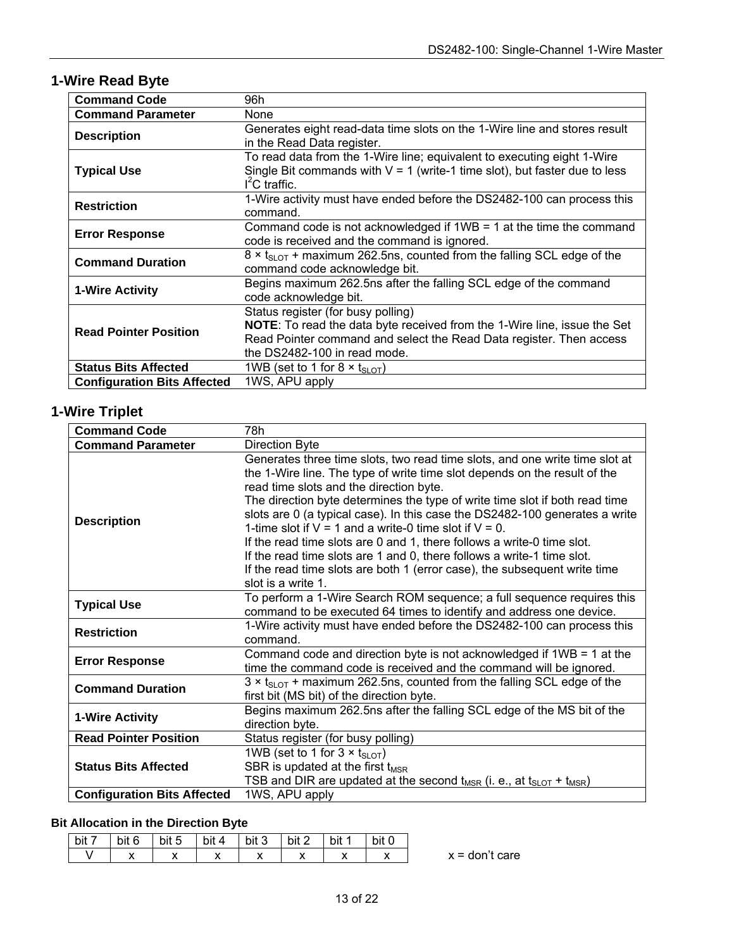# **1-Wire Read Byte**

| <b>Command Code</b>                | 96h                                                                                                                                                                                                                   |
|------------------------------------|-----------------------------------------------------------------------------------------------------------------------------------------------------------------------------------------------------------------------|
| <b>Command Parameter</b>           | None                                                                                                                                                                                                                  |
| <b>Description</b>                 | Generates eight read-data time slots on the 1-Wire line and stores result<br>in the Read Data register.                                                                                                               |
| <b>Typical Use</b>                 | To read data from the 1-Wire line; equivalent to executing eight 1-Wire<br>Single Bit commands with $V = 1$ (write-1 time slot), but faster due to less<br>$I2C$ traffic.                                             |
| <b>Restriction</b>                 | 1-Wire activity must have ended before the DS2482-100 can process this<br>command.                                                                                                                                    |
| <b>Error Response</b>              | Command code is not acknowledged if $1WB = 1$ at the time the command<br>code is received and the command is ignored.                                                                                                 |
| <b>Command Duration</b>            | $8 \times t_{\text{SLOT}}$ + maximum 262.5ns, counted from the falling SCL edge of the<br>command code acknowledge bit.                                                                                               |
| <b>1-Wire Activity</b>             | Begins maximum 262.5ns after the falling SCL edge of the command<br>code acknowledge bit.                                                                                                                             |
| <b>Read Pointer Position</b>       | Status register (for busy polling)<br>NOTE: To read the data byte received from the 1-Wire line, issue the Set<br>Read Pointer command and select the Read Data register. Then access<br>the DS2482-100 in read mode. |
| <b>Status Bits Affected</b>        | 1WB (set to 1 for 8 $\times$ t <sub>SLOT</sub> )                                                                                                                                                                      |
| <b>Configuration Bits Affected</b> | 1WS, APU apply                                                                                                                                                                                                        |

# **1-Wire Triplet**

| <b>Command Code</b>                | 78h                                                                                                                                                                                                                                                                                                                                                                                                                                                                                                                                                                                                                                                                                     |
|------------------------------------|-----------------------------------------------------------------------------------------------------------------------------------------------------------------------------------------------------------------------------------------------------------------------------------------------------------------------------------------------------------------------------------------------------------------------------------------------------------------------------------------------------------------------------------------------------------------------------------------------------------------------------------------------------------------------------------------|
| <b>Command Parameter</b>           | <b>Direction Byte</b>                                                                                                                                                                                                                                                                                                                                                                                                                                                                                                                                                                                                                                                                   |
| <b>Description</b>                 | Generates three time slots, two read time slots, and one write time slot at<br>the 1-Wire line. The type of write time slot depends on the result of the<br>read time slots and the direction byte.<br>The direction byte determines the type of write time slot if both read time<br>slots are 0 (a typical case). In this case the DS2482-100 generates a write<br>1-time slot if $V = 1$ and a write-0 time slot if $V = 0$ .<br>If the read time slots are 0 and 1, there follows a write-0 time slot.<br>If the read time slots are 1 and 0, there follows a write-1 time slot.<br>If the read time slots are both 1 (error case), the subsequent write time<br>slot is a write 1. |
| <b>Typical Use</b>                 | To perform a 1-Wire Search ROM sequence; a full sequence requires this<br>command to be executed 64 times to identify and address one device.                                                                                                                                                                                                                                                                                                                                                                                                                                                                                                                                           |
| <b>Restriction</b>                 | 1-Wire activity must have ended before the DS2482-100 can process this<br>command.                                                                                                                                                                                                                                                                                                                                                                                                                                                                                                                                                                                                      |
| <b>Error Response</b>              | Command code and direction byte is not acknowledged if 1WB = 1 at the<br>time the command code is received and the command will be ignored.                                                                                                                                                                                                                                                                                                                                                                                                                                                                                                                                             |
| <b>Command Duration</b>            | $3 \times t_{\text{SLOT}}$ + maximum 262.5ns, counted from the falling SCL edge of the<br>first bit (MS bit) of the direction byte.                                                                                                                                                                                                                                                                                                                                                                                                                                                                                                                                                     |
| 1-Wire Activity                    | Begins maximum 262.5ns after the falling SCL edge of the MS bit of the<br>direction byte.                                                                                                                                                                                                                                                                                                                                                                                                                                                                                                                                                                                               |
| <b>Read Pointer Position</b>       | Status register (for busy polling)                                                                                                                                                                                                                                                                                                                                                                                                                                                                                                                                                                                                                                                      |
| <b>Status Bits Affected</b>        | 1WB (set to 1 for $3 \times t_{\text{SLOT}}$ )<br>SBR is updated at the first $t_{MSR}$<br>TSB and DIR are updated at the second $t_{MSR}$ (i. e., at $t_{SLOT} + t_{MSR}$ )                                                                                                                                                                                                                                                                                                                                                                                                                                                                                                            |
| <b>Configuration Bits Affected</b> | 1WS, APU apply                                                                                                                                                                                                                                                                                                                                                                                                                                                                                                                                                                                                                                                                          |

### **Bit Allocation in the Direction Byte**

| bit 7 | bit 6      | bit 5 | bit 4 | bit 3 | bit 2                                            | $\cdots$<br>bit | bit 0                    |
|-------|------------|-------|-------|-------|--------------------------------------------------|-----------------|--------------------------|
|       | . .<br>. . | . .   | . .   | . .   | $\ddot{\phantom{1}}$<br>$\overline{\phantom{a}}$ |                 | $\overline{\phantom{a}}$ |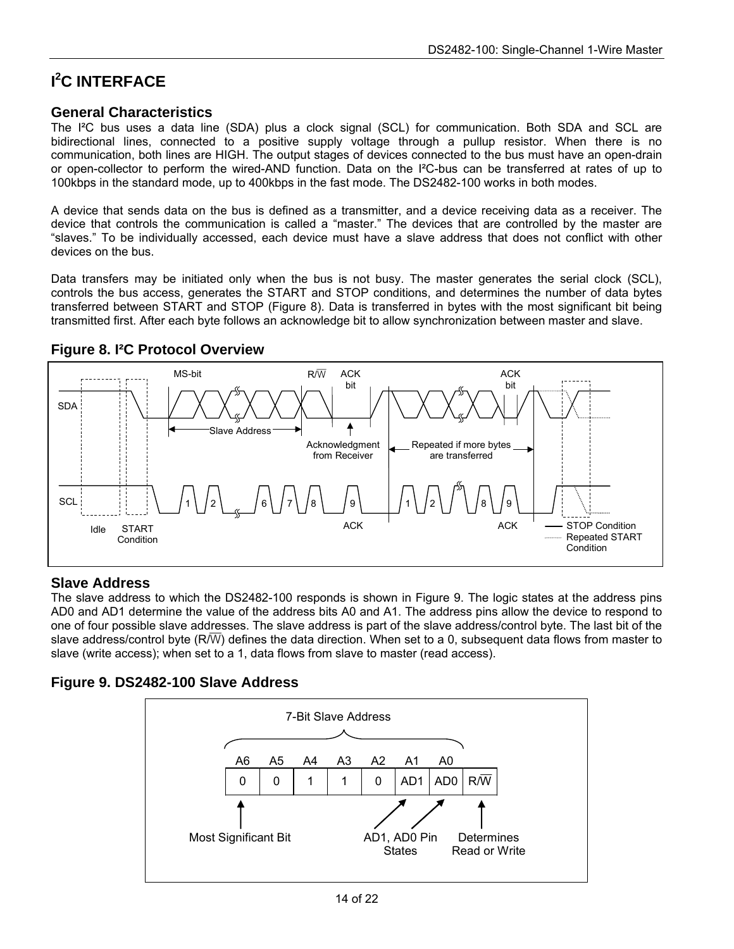# **I 2 C INTERFACE**

#### **General Characteristics**

The I<sup>2</sup>C bus uses a data line (SDA) plus a clock signal (SCL) for communication. Both SDA and SCL are bidirectional lines, connected to a positive supply voltage through a pullup resistor. When there is no communication, both lines are HIGH. The output stages of devices connected to the bus must have an open-drain or open-collector to perform the wired-AND function. Data on the I²C-bus can be transferred at rates of up to 100kbps in the standard mode, up to 400kbps in the fast mode. The DS2482-100 works in both modes.

A device that sends data on the bus is defined as a transmitter, and a device receiving data as a receiver. The device that controls the communication is called a "master." The devices that are controlled by the master are "slaves." To be individually accessed, each device must have a slave address that does not conflict with other devices on the bus.

Data transfers may be initiated only when the bus is not busy. The master generates the serial clock (SCL), controls the bus access, generates the START and STOP conditions, and determines the number of data bytes transferred between START and STOP (Figure 8). Data is transferred in bytes with the most significant bit being transmitted first. After each byte follows an acknowledge bit to allow synchronization between master and slave.



### **Figure 8. I²C Protocol Overview**

### **Slave Address**

The slave address to which the DS2482-100 responds is shown in Figure 9. The logic states at the address pins AD0 and AD1 determine the value of the address bits A0 and A1. The address pins allow the device to respond to one of four possible slave addresses. The slave address is part of the slave address/control byte. The last bit of the slave address/control byte  $(R/\overline{W})$  defines the data direction. When set to a 0, subsequent data flows from master to slave (write access); when set to a 1, data flows from slave to master (read access).

### **Figure 9. DS2482-100 Slave Address**

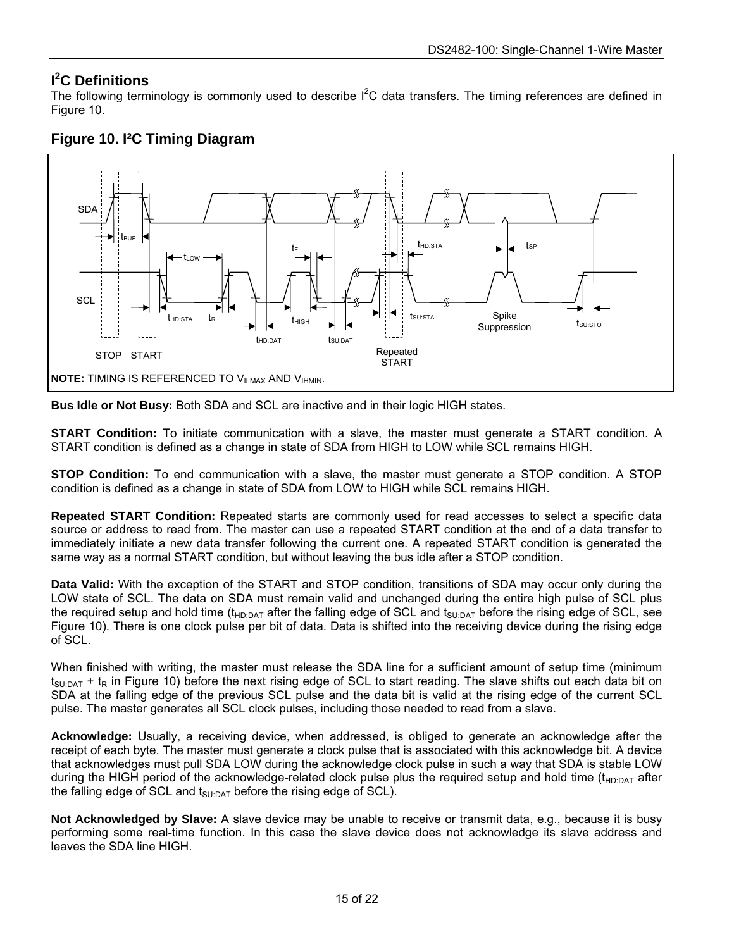### **I 2 C Definitions**

The following terminology is commonly used to describe  $I^2C$  data transfers. The timing references are defined in Figure 10.



### **Figure 10. I²C Timing Diagram**

**Bus Idle or Not Busy:** Both SDA and SCL are inactive and in their logic HIGH states.

**START Condition:** To initiate communication with a slave, the master must generate a START condition. A START condition is defined as a change in state of SDA from HIGH to LOW while SCL remains HIGH.

**STOP Condition:** To end communication with a slave, the master must generate a STOP condition. A STOP condition is defined as a change in state of SDA from LOW to HIGH while SCL remains HIGH.

**Repeated START Condition:** Repeated starts are commonly used for read accesses to select a specific data source or address to read from. The master can use a repeated START condition at the end of a data transfer to immediately initiate a new data transfer following the current one. A repeated START condition is generated the same way as a normal START condition, but without leaving the bus idle after a STOP condition.

**Data Valid:** With the exception of the START and STOP condition, transitions of SDA may occur only during the LOW state of SCL. The data on SDA must remain valid and unchanged during the entire high pulse of SCL plus the required setup and hold time ( $t_{HD:DATA}$  after the falling edge of SCL and  $t_{SU:DATA}$  before the rising edge of SCL, see Figure 10). There is one clock pulse per bit of data. Data is shifted into the receiving device during the rising edge of SCL.

When finished with writing, the master must release the SDA line for a sufficient amount of setup time (minimum  $t_{\text{SUDAT}}$  +  $t_{\text{R}}$  in Figure 10) before the next rising edge of SCL to start reading. The slave shifts out each data bit on SDA at the falling edge of the previous SCL pulse and the data bit is valid at the rising edge of the current SCL pulse. The master generates all SCL clock pulses, including those needed to read from a slave.

**Acknowledge:** Usually, a receiving device, when addressed, is obliged to generate an acknowledge after the receipt of each byte. The master must generate a clock pulse that is associated with this acknowledge bit. A device that acknowledges must pull SDA LOW during the acknowledge clock pulse in such a way that SDA is stable LOW during the HIGH period of the acknowledge-related clock pulse plus the required setup and hold time ( $t_{HD:DAT}$  after the falling edge of SCL and  $t_{\text{SUDAT}}$  before the rising edge of SCL).

**Not Acknowledged by Slave:** A slave device may be unable to receive or transmit data, e.g., because it is busy performing some real-time function. In this case the slave device does not acknowledge its slave address and leaves the SDA line HIGH.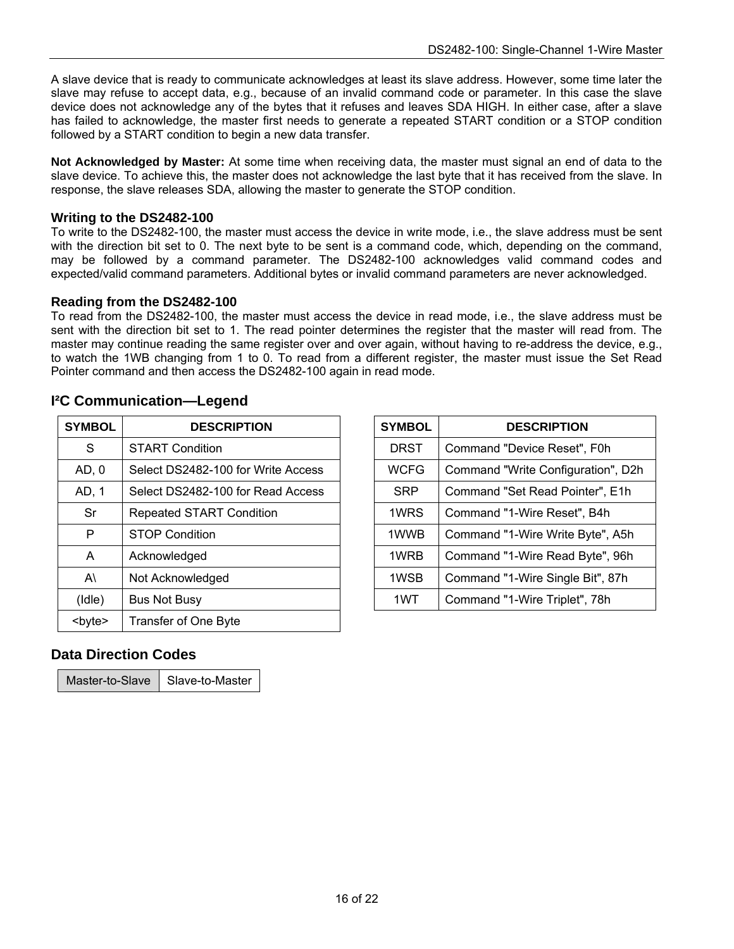A slave device that is ready to communicate acknowledges at least its slave address. However, some time later the slave may refuse to accept data, e.g., because of an invalid command code or parameter. In this case the slave device does not acknowledge any of the bytes that it refuses and leaves SDA HIGH. In either case, after a slave has failed to acknowledge, the master first needs to generate a repeated START condition or a STOP condition followed by a START condition to begin a new data transfer.

**Not Acknowledged by Master:** At some time when receiving data, the master must signal an end of data to the slave device. To achieve this, the master does not acknowledge the last byte that it has received from the slave. In response, the slave releases SDA, allowing the master to generate the STOP condition.

#### **Writing to the DS2482-100**

To write to the DS2482-100, the master must access the device in write mode, i.e., the slave address must be sent with the direction bit set to 0. The next byte to be sent is a command code, which, depending on the command, may be followed by a command parameter. The DS2482-100 acknowledges valid command codes and expected/valid command parameters. Additional bytes or invalid command parameters are never acknowledged.

#### **Reading from the DS2482-100**

To read from the DS2482-100, the master must access the device in read mode, i.e., the slave address must be sent with the direction bit set to 1. The read pointer determines the register that the master will read from. The master may continue reading the same register over and over again, without having to re-address the device, e.g., to watch the 1WB changing from 1 to 0. To read from a different register, the master must issue the Set Read Pointer command and then access the DS2482-100 again in read mode.

|  | <sup>2</sup> C Communication-Legend |  |
|--|-------------------------------------|--|
|--|-------------------------------------|--|

| <b>SYMBOL</b> | <b>DESCRIPTION</b>                 | <b>SYMBOL</b> | <b>DESCRIPTION</b>                |
|---------------|------------------------------------|---------------|-----------------------------------|
| S             | <b>START Condition</b>             | <b>DRST</b>   | Command "Device Reset", F0h       |
| AD, 0         | Select DS2482-100 for Write Access | <b>WCFG</b>   | Command "Write Configuration", D2 |
| AD, 1         | Select DS2482-100 for Read Access  | <b>SRP</b>    | Command "Set Read Pointer", E1h   |
| Sr            | <b>Repeated START Condition</b>    | 1WRS          | Command "1-Wire Reset", B4h       |
| P             | <b>STOP Condition</b>              | 1WWB          | Command "1-Wire Write Byte", A5h  |
| A             | Acknowledged                       | 1WRB          | Command "1-Wire Read Byte", 96h   |
| $A\setminus$  | Not Acknowledged                   | 1WSB          | Command "1-Wire Single Bit", 87h  |
| (Idle)        | Bus Not Busy                       | 1WT           | Command "1-Wire Triplet", 78h     |
| <byte></byte> | <b>Transfer of One Byte</b>        |               |                                   |

| YMBOL        | <b>DESCRIPTION</b>                 | <b>SYMBOL</b> | <b>DESCRIPTION</b>                 |
|--------------|------------------------------------|---------------|------------------------------------|
| S            | <b>START Condition</b>             | <b>DRST</b>   | Command "Device Reset", F0h        |
| AD, 0        | Select DS2482-100 for Write Access | <b>WCFG</b>   | Command "Write Configuration", D2h |
| AD, 1        | Select DS2482-100 for Read Access  | <b>SRP</b>    | Command "Set Read Pointer", E1h    |
| Sr           | Repeated START Condition           | 1WRS          | Command "1-Wire Reset", B4h        |
| P            | <b>STOP Condition</b>              | 1WWB          | Command "1-Wire Write Byte", A5h   |
| A            | Acknowledged                       | 1WRB          | Command "1-Wire Read Byte", 96h    |
| $A\setminus$ | Not Acknowledged                   | 1WSB          | Command "1-Wire Single Bit", 87h   |
| (dle)        | <b>Bus Not Busy</b>                | 1WT           | Command "1-Wire Triplet", 78h      |
|              |                                    |               |                                    |

### **Data Direction Codes**

Master-to-Slave  $\parallel$  Slave-to-Master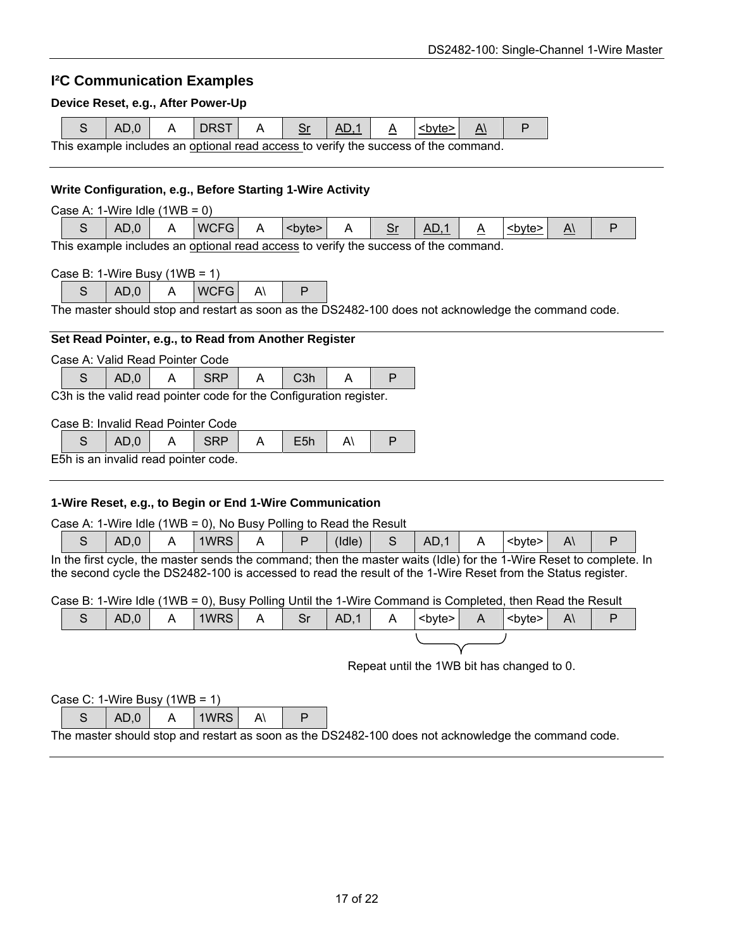### **I²C Communication Examples**

#### **Device Reset, e.g., After Power-Up**

|  | AD.0 | DRST                                                                                |  | AD.1 | l <b∨te>l</b∨te> |  |
|--|------|-------------------------------------------------------------------------------------|--|------|------------------|--|
|  |      | This example includes an optional read access to verify the success of the command. |  |      |                  |  |

#### **Write Configuration, e.g., Before Starting 1-Wire Activity**

| <b>WCFG</b><br>AD<br>$\Lambda$<br><b∨te><br/>AD.0<br/><b∨te><br/>▵<br/>اب<br/>-<br/><math>\overline{\phantom{a}}</math><br/>__</b∨te></b∨te> |  |
|----------------------------------------------------------------------------------------------------------------------------------------------|--|

This example includes an optional read access to verify the success of the command.

| Case B: 1-Wire Busy $(1WB = 1)$ |  |
|---------------------------------|--|
|---------------------------------|--|

 $S$   $AD.0$   $A$   $WCFG$   $A$   $P$ 

The master should stop and restart as soon as the DS2482-100 does not acknowledge the command code.

#### **Set Read Pointer, e.g., to Read from Another Register**

Case A: Valid Read Pointer Code

| $\mathbf{A} \cap \mathbf{B}$ . The contract of the second contract of $\mathbf{A}$ , $\mathbf{A}$ , $\mathbf{A}$ , $\mathbf{A}$ , $\mathbf{A}$ , $\mathbf{A}$ , $\mathbf{A}$ , $\mathbf{A}$ , $\mathbf{A}$ , $\mathbf{A}$ , $\mathbf{A}$ , $\mathbf{A}$ , $\mathbf{A}$ , $\mathbf{A}$ , $\mathbf{A}$ |  |  |  |  |  |  |  |
|------------------------------------------------------------------------------------------------------------------------------------------------------------------------------------------------------------------------------------------------------------------------------------------------------|--|--|--|--|--|--|--|

C3h is the valid read pointer code for the Configuration register.

#### Case B: Invalid Read Pointer Code

|  | $\cdot$ . $\cdot$ | . |  |  |
|--|-------------------|---|--|--|
|  |                   |   |  |  |

E5h is an invalid read pointer code.

#### **1-Wire Reset, e.g., to Begin or End 1-Wire Communication**

Case A: 1-Wire Idle (1WB = 0), No Busy Polling to Read the Result

|           | 0.(<br>AL. | 1WRS | . . |   | (Idle | <b>AD</b> |   | <b∨te></b∨te> | Λ<br>πı |  |
|-----------|------------|------|-----|---|-------|-----------|---|---------------|---------|--|
| --<br>. . |            | .    |     | . |       | $\cdots$  | . | .<br>-        |         |  |

In the first cycle, the master sends the command; then the master waits (Idle) for the 1-Wire Reset to complete. In the second cycle the DS2482-100 is accessed to read the result of the 1-Wire Reset from the Status register.

Case B: 1-Wire Idle (1WB = 0), Busy Polling Until the 1-Wire Command is Completed, then Read the Result

|  | $AD,0$ $A$ | $ 1WRS $ A   Sr   AD,1   A  <br>byte>   A |  |  |  | $\vert$ <byte><math>\vert</math></byte> | $A\setminus$ |  |
|--|------------|-------------------------------------------|--|--|--|-----------------------------------------|--------------|--|
|  |            |                                           |  |  |  |                                         |              |  |

Repeat until the 1WB bit has changed to 0.

| Case C: 1-Wire Busy $(1WB = 1)$ |      |  |          |  |  |  |  |  |  |
|---------------------------------|------|--|----------|--|--|--|--|--|--|
|                                 | AD.0 |  | l 1WRS I |  |  |  |  |  |  |

The master should stop and restart as soon as the DS2482-100 does not acknowledge the command code.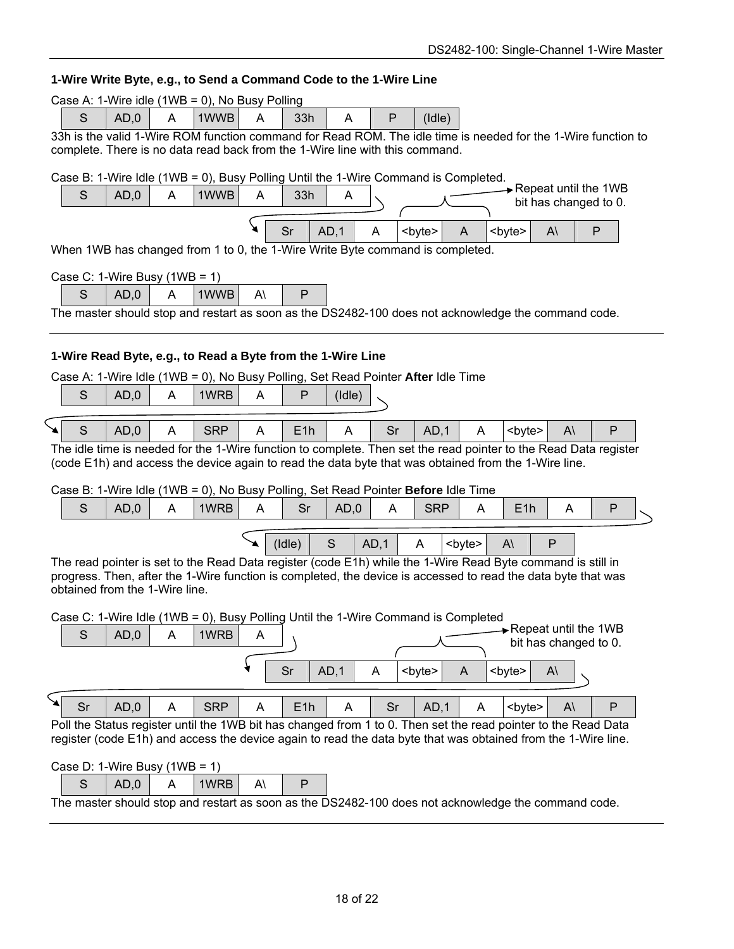#### **1-Wire Write Byte, e.g., to Send a Command Code to the 1-Wire Line**

| 1-Wire Write Byte, e.g., to Send a Command Code to the 1-Wire Line                                                                                                                         |  |  |  |  |  |  |  |
|--------------------------------------------------------------------------------------------------------------------------------------------------------------------------------------------|--|--|--|--|--|--|--|
| Case A: 1-Wire idle (1WB = 0), No Busy Polling                                                                                                                                             |  |  |  |  |  |  |  |
| 1WWB<br>$\mathsf{P}$<br>S<br>AD,0<br>33h<br>(dde)<br>A<br>A<br>A                                                                                                                           |  |  |  |  |  |  |  |
| 33h is the valid 1-Wire ROM function command for Read ROM. The idle time is needed for the 1-Wire function to                                                                              |  |  |  |  |  |  |  |
| complete. There is no data read back from the 1-Wire line with this command.                                                                                                               |  |  |  |  |  |  |  |
| Case B: 1-Wire Idle (1WB = 0), Busy Polling Until the 1-Wire Command is Completed.                                                                                                         |  |  |  |  |  |  |  |
| $\rightarrow$ Repeat until the 1WB<br>S<br>AD,0<br>1WWB<br>A<br>33h<br>A<br>A<br>bit has changed to 0.                                                                                     |  |  |  |  |  |  |  |
|                                                                                                                                                                                            |  |  |  |  |  |  |  |
| Sr<br>AD,1<br><byte><br/><byte><br/><math>A\setminus</math><br/>P<br/>A<br/>A</byte></byte>                                                                                                |  |  |  |  |  |  |  |
| When 1WB has changed from 1 to 0, the 1-Wire Write Byte command is completed.                                                                                                              |  |  |  |  |  |  |  |
| Case C: 1-Wire Busy $(1WB = 1)$                                                                                                                                                            |  |  |  |  |  |  |  |
| S<br>AD,0<br>1WWB<br>A۱<br>P<br>A                                                                                                                                                          |  |  |  |  |  |  |  |
| The master should stop and restart as soon as the DS2482-100 does not acknowledge the command code.                                                                                        |  |  |  |  |  |  |  |
|                                                                                                                                                                                            |  |  |  |  |  |  |  |
| 1-Wire Read Byte, e.g., to Read a Byte from the 1-Wire Line                                                                                                                                |  |  |  |  |  |  |  |
| Case A: 1-Wire Idle (1WB = 0), No Busy Polling, Set Read Pointer After Idle Time                                                                                                           |  |  |  |  |  |  |  |
| 1WRB<br>S<br>AD,0<br>A<br>P<br>A<br>(Idle)                                                                                                                                                 |  |  |  |  |  |  |  |
|                                                                                                                                                                                            |  |  |  |  |  |  |  |
| S<br><b>SRP</b><br>AD,0<br>E1h<br>Sr<br>AD,1<br>P<br>A<br>A<br>A<br><byte><br/><math>A\setminus</math><br/>A</byte>                                                                        |  |  |  |  |  |  |  |
| The idle time is needed for the 1-Wire function to complete. Then set the read pointer to the Read Data register                                                                           |  |  |  |  |  |  |  |
| (code E1h) and access the device again to read the data byte that was obtained from the 1-Wire line.                                                                                       |  |  |  |  |  |  |  |
| Case B: 1-Wire Idle (1WB = 0), No Busy Polling, Set Read Pointer Before Idle Time                                                                                                          |  |  |  |  |  |  |  |
| $\mathsf S$<br>AD,0<br>1WRB<br>Sr<br><b>SRP</b><br>A<br>Α<br>AD,0<br>A<br>E1h<br>A<br>P<br>A                                                                                               |  |  |  |  |  |  |  |
|                                                                                                                                                                                            |  |  |  |  |  |  |  |
| S<br>P<br>(dle)<br>AD,1<br><byte><br/>A<br/><math>A\setminus</math><br/>The read pointer is set to the Read Data register (code E1h) while the 1-Wire Read Byte command is still in</byte> |  |  |  |  |  |  |  |
| progress. Then, after the 1-Wire function is completed, the device is accessed to read the data byte that was                                                                              |  |  |  |  |  |  |  |
| obtained from the 1-Wire line.                                                                                                                                                             |  |  |  |  |  |  |  |
| Case C: 1-Wire Idle (1WB = 0), Busy Polling Until the 1-Wire Command is Completed                                                                                                          |  |  |  |  |  |  |  |
| $\rightarrow$ Repeat until the 1WB<br>S<br>1WRB<br>AD,0<br>A<br>Α                                                                                                                          |  |  |  |  |  |  |  |
| bit has changed to 0.                                                                                                                                                                      |  |  |  |  |  |  |  |
| Sr<br>AD,1<br><byte><br/><math>\mathsf{A}</math><br/><byte><br/>A<br/><math>A\setminus</math></byte></byte>                                                                                |  |  |  |  |  |  |  |
|                                                                                                                                                                                            |  |  |  |  |  |  |  |
| AD,0<br><b>SRP</b><br>${\sf P}$<br>Sr<br>A<br>E1h<br>A<br>Sr<br>AD,1<br>A<br>A<br><byte><br/><math>A\setminus</math></byte>                                                                |  |  |  |  |  |  |  |
| Poll the Status register until the 1WB bit has changed from 1 to 0. Then set the read pointer to the Read Data                                                                             |  |  |  |  |  |  |  |
| register (code E1h) and access the device again to read the data byte that was obtained from the 1-Wire line.                                                                              |  |  |  |  |  |  |  |
| Case D: 1-Wire Busy $(1WB = 1)$                                                                                                                                                            |  |  |  |  |  |  |  |
| S<br>AD,0<br>1WRB<br>$\mathsf{P}$<br>A<br>$A\setminus$                                                                                                                                     |  |  |  |  |  |  |  |
| The master should stop and restart as soon as the DS2482-100 does not acknowledge the command code.                                                                                        |  |  |  |  |  |  |  |
|                                                                                                                                                                                            |  |  |  |  |  |  |  |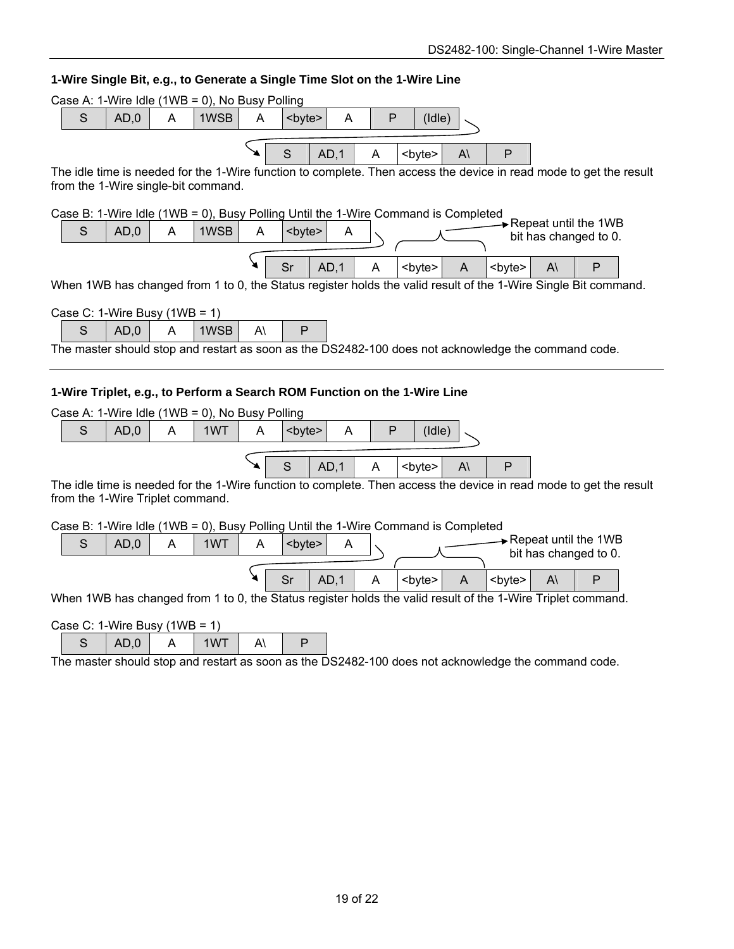| 1-Wire Single Bit, e.g., to Generate a Single Time Slot on the 1-Wire Line                                                                                |  |  |  |  |  |  |  |
|-----------------------------------------------------------------------------------------------------------------------------------------------------------|--|--|--|--|--|--|--|
| Case A: 1-Wire Idle (1WB = 0), No Busy Polling                                                                                                            |  |  |  |  |  |  |  |
| $\mathsf{P}$<br>$\mathsf S$<br>AD,0<br>A<br>1WSB<br>A<br>(dle)<br>A<br><byte></byte>                                                                      |  |  |  |  |  |  |  |
| S<br>AD,1<br>A<br>$A\setminus$<br>P<br><byte></byte>                                                                                                      |  |  |  |  |  |  |  |
| The idle time is needed for the 1-Wire function to complete. Then access the device in read mode to get the result<br>from the 1-Wire single-bit command. |  |  |  |  |  |  |  |
| Case B: 1-Wire Idle (1WB = 0), Busy Polling Until the 1-Wire Command is Completed<br>$\rightarrow$ Repeat until the 1WB                                   |  |  |  |  |  |  |  |
| $\mathsf{S}$<br>AD,0<br>1WSB<br>A<br>A<br><byte><br/>A<br/>bit has changed to 0.</byte>                                                                   |  |  |  |  |  |  |  |
| Sr<br>AD,1<br>A<br><byte><br/>P<br/><byte><br/>A۱<br/>A</byte></byte>                                                                                     |  |  |  |  |  |  |  |
| When 1WB has changed from 1 to 0, the Status register holds the valid result of the 1-Wire Single Bit command.                                            |  |  |  |  |  |  |  |
| Case C: 1-Wire Busy $(1WB = 1)$                                                                                                                           |  |  |  |  |  |  |  |
| AD,0<br>$\overline{A}$<br>$A\setminus$<br>$\mathsf{P}$<br>S<br>1WSB                                                                                       |  |  |  |  |  |  |  |
| The master should stop and restart as soon as the DS2482-100 does not acknowledge the command code.                                                       |  |  |  |  |  |  |  |
| 1-Wire Triplet, e.g., to Perform a Search ROM Function on the 1-Wire Line                                                                                 |  |  |  |  |  |  |  |
| Case A: 1-Wire Idle (1WB = 0), No Busy Polling                                                                                                            |  |  |  |  |  |  |  |
| $\mathsf S$<br>P<br>AD,0<br>A<br>1WT<br>A<br>(dde)<br>A<br><byte></byte>                                                                                  |  |  |  |  |  |  |  |
|                                                                                                                                                           |  |  |  |  |  |  |  |
| S<br>AD.1<br>P<br>A<br><byte><br/><math>A\setminus</math></byte>                                                                                          |  |  |  |  |  |  |  |
| The idle time is needed for the 1-Wire function to complete. Then access the device in read mode to get the result<br>from the 1-Wire Triplet command.    |  |  |  |  |  |  |  |
| Case B: 1-Wire Idle (1WB = 0), Busy Polling Until the 1-Wire Command is Completed                                                                         |  |  |  |  |  |  |  |
| Repeat until the 1WB<br>S<br>AD,0<br>1WT<br>A<br><byte><br/>A<br/>A<br/>bit has changed to 0.</byte>                                                      |  |  |  |  |  |  |  |
| AD,1<br>Sr<br>A<br><byte><br/><math>\mathsf{P}</math><br/><math>\overline{A}</math><br/><byte><br/>A۱</byte></byte>                                       |  |  |  |  |  |  |  |
| When 1WB has changed from 1 to 0, the Status register holds the valid result of the 1-Wire Triplet command.                                               |  |  |  |  |  |  |  |
| Case C: 1-Wire Busy $(1WB = 1)$                                                                                                                           |  |  |  |  |  |  |  |
| S<br>AD,0<br>1WT<br>$A\setminus$<br>P<br>A                                                                                                                |  |  |  |  |  |  |  |

The master should stop and restart as soon as the DS2482-100 does not acknowledge the command code.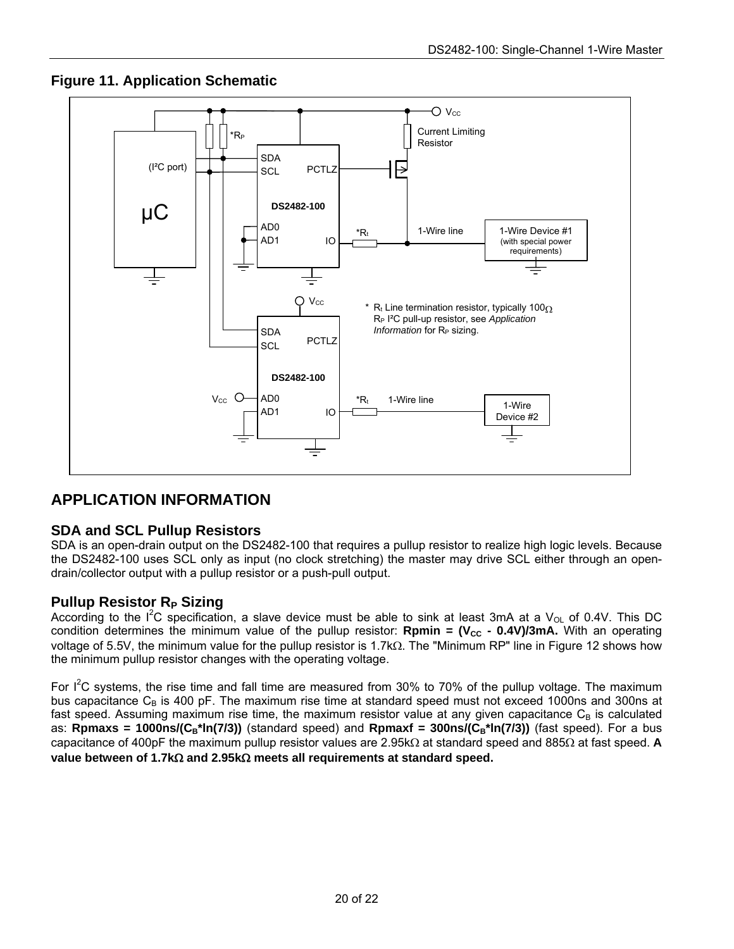

### **Figure 11. Application Schematic**

## **APPLICATION INFORMATION**

### **SDA and SCL Pullup Resistors**

SDA is an open-drain output on the DS2482-100 that requires a pullup resistor to realize high logic levels. Because the DS2482-100 uses SCL only as input (no clock stretching) the master may drive SCL either through an opendrain/collector output with a pullup resistor or a push-pull output.

### **Pullup Resistor R<sub>P</sub> Sizing**

According to the  $I^2C$  specification, a slave device must be able to sink at least 3mA at a V<sub>OL</sub> of 0.4V. This DC condition determines the minimum value of the pullup resistor: **Rpmin =**  $(V_{CC} - 0.4V)/3mA$ **.** With an operating voltage of 5.5V, the minimum value for the pullup resistor is 1.7kΩ. The "Minimum RP" line in Figure 12 shows how the minimum pullup resistor changes with the operating voltage.

For  $I^2C$  systems, the rise time and fall time are measured from 30% to 70% of the pullup voltage. The maximum bus capacitance  $C_B$  is 400 pF. The maximum rise time at standard speed must not exceed 1000ns and 300ns at fast speed. Assuming maximum rise time, the maximum resistor value at any given capacitance  $C_B$  is calculated as: **Rpmaxs = 1000ns/(C<sub>B</sub>\*ln(7/3))** (standard speed) and **Rpmaxf = 300ns/(C<sub>B</sub>\*ln(7/3))** (fast speed). For a bus capacitance of 400pF the maximum pullup resistor values are 2.95kΩ at standard speed and 885Ω at fast speed. **A value between of 1.7k**Ω **and 2.95k**Ω **meets all requirements at standard speed.**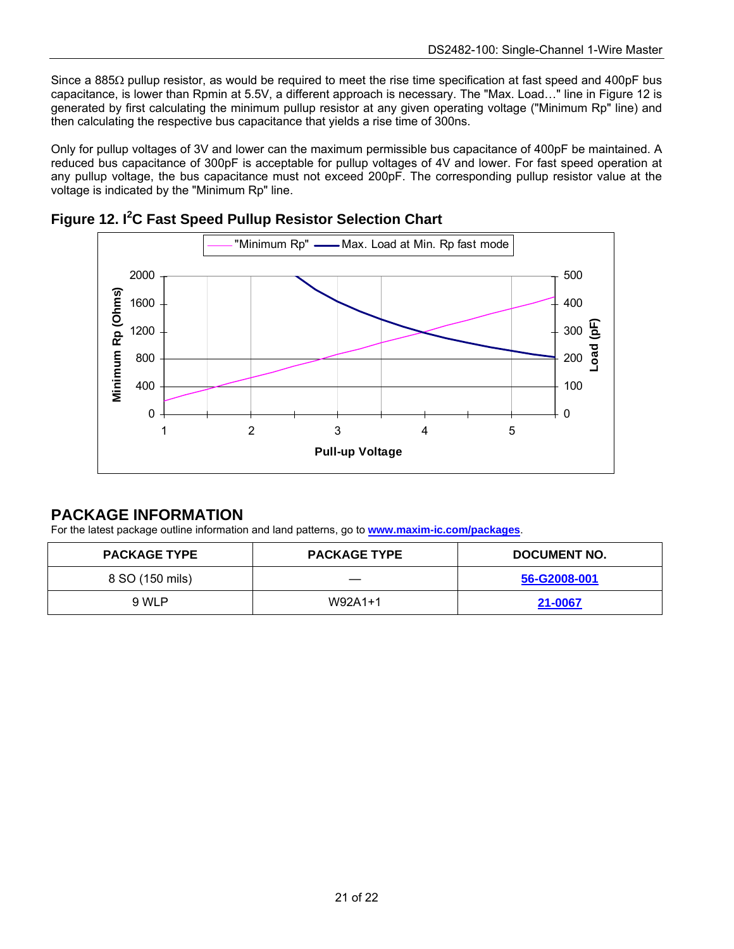Since a 885Ω pullup resistor, as would be required to meet the rise time specification at fast speed and 400pF bus capacitance, is lower than Rpmin at 5.5V, a different approach is necessary. The "Max. Load…" line in Figure 12 is generated by first calculating the minimum pullup resistor at any given operating voltage ("Minimum Rp" line) and then calculating the respective bus capacitance that yields a rise time of 300ns.

Only for pullup voltages of 3V and lower can the maximum permissible bus capacitance of 400pF be maintained. A reduced bus capacitance of 300pF is acceptable for pullup voltages of 4V and lower. For fast speed operation at any pullup voltage, the bus capacitance must not exceed 200pF. The corresponding pullup resistor value at the voltage is indicated by the "Minimum Rp" line.





### **PACKAGE INFORMATION**

For the latest package outline information and land patterns, go to **[www.maxim-ic.com/packages](http://www.maxim-ic.com/packages)**.

| <b>PACKAGE TYPE</b> | <b>PACKAGE TYPE</b> | <b>DOCUMENT NO.</b> |
|---------------------|---------------------|---------------------|
| 8 SO (150 mils)     |                     | 56-G2008-001        |
| 9 WLP               | W92A1+1             | 21-0067             |